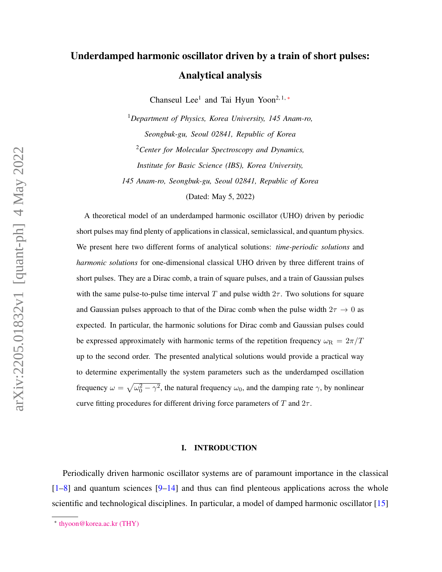# Underdamped harmonic oscillator driven by a train of short pulses: Analytical analysis

Chanseul Lee<sup>1</sup> and Tai Hyun Yoon<sup>2, 1,\*</sup>

<sup>1</sup>*Department of Physics, Korea University, 145 Anam-ro, Seongbuk-gu, Seoul 02841, Republic of Korea* <sup>2</sup>*Center for Molecular Spectroscopy and Dynamics, Institute for Basic Science (IBS), Korea University, 145 Anam-ro, Seongbuk-gu, Seoul 02841, Republic of Korea* (Dated: May 5, 2022)

A theoretical model of an underdamped harmonic oscillator (UHO) driven by periodic short pulses may find plenty of applications in classical, semiclassical, and quantum physics. We present here two different forms of analytical solutions: *time-periodic solutions* and *harmonic solutions* for one-dimensional classical UHO driven by three different trains of short pulses. They are a Dirac comb, a train of square pulses, and a train of Gaussian pulses with the same pulse-to-pulse time interval T and pulse width  $2\tau$ . Two solutions for square and Gaussian pulses approach to that of the Dirac comb when the pulse width  $2\tau \rightarrow 0$  as expected. In particular, the harmonic solutions for Dirac comb and Gaussian pulses could be expressed approximately with harmonic terms of the repetition frequency  $\omega_R = 2\pi/T$ up to the second order. The presented analytical solutions would provide a practical way to determine experimentally the system parameters such as the underdamped oscillation frequency  $\omega = \sqrt{\omega_0^2 - \gamma^2}$ , the natural frequency  $\omega_0$ , and the damping rate  $\gamma$ , by nonlinear curve fitting procedures for different driving force parameters of T and  $2\tau$ .

#### I. INTRODUCTION

Periodically driven harmonic oscillator systems are of paramount importance in the classical  $[1-8]$  $[1-8]$  and quantum sciences  $[9-14]$  $[9-14]$  and thus can find plenteous applications across the whole scientific and technological disciplines. In particular, a model of damped harmonic oscillator [\[15\]](#page-26-3)

<span id="page-0-0"></span><sup>∗</sup> [thyoon@korea.ac.kr \(THY\)](mailto:thyoon@korea.ac.kr (THY))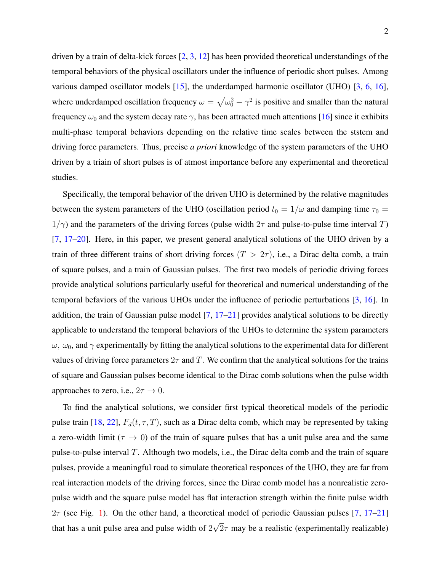driven by a train of delta-kick forces [\[2,](#page-26-4) [3,](#page-26-5) [12\]](#page-26-6) has been provided theoretical understandings of the temporal behaviors of the physical oscillators under the influence of periodic short pulses. Among various damped oscillator models [\[15\]](#page-26-3), the underdamped harmonic oscillator (UHO) [\[3,](#page-26-5) [6,](#page-26-7) [16\]](#page-26-8), where underdamped oscillation frequency  $\omega = \sqrt{\omega_0^2 - \gamma^2}$  is positive and smaller than the natural frequency  $\omega_0$  and the system decay rate  $\gamma$ , has been attracted much attentions [\[16\]](#page-26-8) since it exhibits multi-phase temporal behaviors depending on the relative time scales between the ststem and driving force parameters. Thus, precise *a priori* knowledge of the system parameters of the UHO driven by a triain of short pulses is of atmost importance before any experimental and theoretical studies.

Specifically, the temporal behavior of the driven UHO is determined by the relative magnitudes between the system parameters of the UHO (oscillation period  $t_0 = 1/\omega$  and damping time  $\tau_0 =$  $1/\gamma$ ) and the parameters of the driving forces (pulse width  $2\tau$  and pulse-to-pulse time interval T)  $[7, 17–20]$  $[7, 17–20]$  $[7, 17–20]$  $[7, 17–20]$ . Here, in this paper, we present general analytical solutions of the UHO driven by a train of three different trains of short driving forces  $(T > 2\tau)$ , i.e., a Dirac delta comb, a train of square pulses, and a train of Gaussian pulses. The first two models of periodic driving forces provide analytical solutions particularly useful for theoretical and numerical understanding of the temporal befaviors of the various UHOs under the influence of periodic perturbations [\[3,](#page-26-5) [16\]](#page-26-8). In addition, the train of Gaussian pulse model [\[7,](#page-26-9) [17–](#page-26-10)[21\]](#page-27-1) provides analytical solutions to be directly applicable to understand the temporal behaviors of the UHOs to determine the system parameters  $ω$ ,  $ω_0$ , and  $γ$  experimentally by fitting the analytical solutions to the experimental data for different values of driving force parameters  $2\tau$  and T. We confirm that the analytical solutions for the trains of square and Gaussian pulses become identical to the Dirac comb solutions when the pulse width approaches to zero, i.e.,  $2\tau \rightarrow 0$ .

To find the analytical solutions, we consider first typical theoretical models of the periodic pulse train [\[18,](#page-26-11) [22\]](#page-27-2),  $F_d(t, \tau, T)$ , such as a Dirac delta comb, which may be represented by taking a zero-width limit ( $\tau \to 0$ ) of the train of square pulses that has a unit pulse area and the same pulse-to-pulse interval  $T$ . Although two models, i.e., the Dirac delta comb and the train of square pulses, provide a meaningful road to simulate theoretical responces of the UHO, they are far from real interaction models of the driving forces, since the Dirac comb model has a nonrealistic zeropulse width and the square pulse model has flat interaction strength within the finite pulse width  $2\tau$  (see Fig. [1\)](#page-2-0). On the other hand, a theoretical model of periodic Gaussian pulses [\[7,](#page-26-9) [17](#page-26-10)[–21\]](#page-27-1) that has a unit pulse area and pulse width of 2 √  $2\tau$  may be a realistic (experimentally realizable)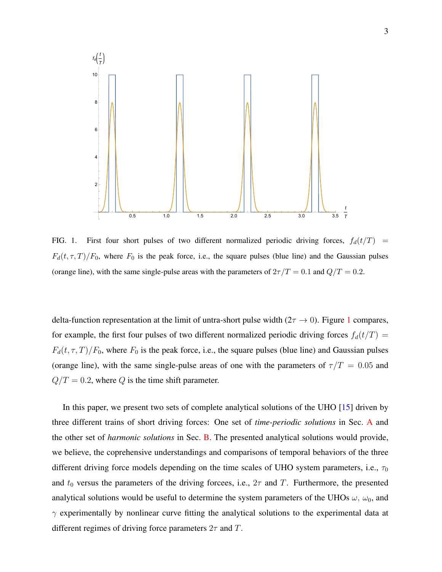

<span id="page-2-0"></span>FIG. 1. First four short pulses of two different normalized periodic driving forces,  $f_d(t/T)$  =  $F_d(t, \tau, T)/F_0$ , where  $F_0$  is the peak force, i.e., the square pulses (blue line) and the Gaussian pulses (orange line), with the same single-pulse areas with the parameters of  $2\tau/T = 0.1$  and  $Q/T = 0.2$ .

delta-function representation at the limit of untra-short pulse width  $(2\tau \rightarrow 0)$ . Figure [1](#page-2-0) compares, for example, the first four pulses of two different normalized periodic driving forces  $f_d(t/T)$  =  $F_d(t, \tau, T)/F_0$ , where  $F_0$  is the peak force, i.e., the square pulses (blue line) and Gaussian pulses (orange line), with the same single-pulse areas of one with the parameters of  $\tau/T = 0.05$  and  $Q/T = 0.2$ , where Q is the time shift parameter.

In this paper, we present two sets of complete analytical solutions of the UHO [\[15\]](#page-26-3) driven by three different trains of short driving forces: One set of *time-periodic solutions* in Sec. [A](#page-15-0) and the other set of *harmonic solutions* in Sec. [B.](#page-19-0) The presented analytical solutions would provide, we believe, the coprehensive understandings and comparisons of temporal behaviors of the three different driving force models depending on the time scales of UHO system parameters, i.e.,  $\tau_0$ and  $t_0$  versus the parameters of the driving forcees, i.e.,  $2\tau$  and T. Furthermore, the presented analytical solutions would be useful to determine the system parameters of the UHOs  $\omega$ ,  $\omega_0$ , and  $\gamma$  experimentally by nonlinear curve fitting the analytical solutions to the experimental data at different regimes of driving force parameters  $2\tau$  and T.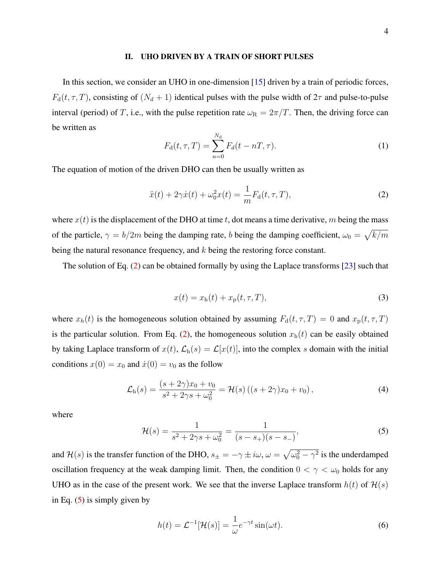#### II. UHO DRIVEN BY A TRAIN OF SHORT PULSES

<span id="page-3-5"></span>In this section, we consider an UHO in one-dimension [\[15\]](#page-26-3) driven by a train of periodic forces,  $F_d(t, \tau, T)$ , consisting of  $(N_d + 1)$  identical pulses with the pulse width of  $2\tau$  and pulse-to-pulse interval (period) of T, i.e., with the pulse repetition rate  $\omega_R = 2\pi/T$ . Then, the driving force can be written as

<span id="page-3-0"></span>
$$
F_{\rm d}(t,\tau,T) = \sum_{n=0}^{N_{\rm d}} F_d(t - nT,\tau).
$$
 (1)

The equation of motion of the driven DHO can then be usually written as

$$
\ddot{x}(t) + 2\gamma \dot{x}(t) + \omega_0^2 x(t) = \frac{1}{m} F_d(t, \tau, T),
$$
\n(2)

where  $x(t)$  is the displacement of the DHO at time t, dot means a time derivative, m being the mass of the particle,  $\gamma = b/2m$  being the damping rate, b being the damping coefficient,  $\omega_0 = \sqrt{k/m}$ being the natural resonance frequency, and k being the restoring force constant.

<span id="page-3-2"></span>The solution of Eq. [\(2\)](#page-3-0) can be obtained formally by using the Laplace transforms [\[23\]](#page-27-3) such that

<span id="page-3-3"></span>
$$
x(t) = x_h(t) + x_p(t, \tau, T),
$$
\n(3)

where  $x_h(t)$  is the homogeneous solution obtained by assuming  $F_d(t, \tau, T) = 0$  and  $x_p(t, \tau, T)$ is the particular solution. From Eq. [\(2\)](#page-3-0), the homogeneous solution  $x<sub>h</sub>(t)$  can be easily obtained by taking Laplace transform of  $x(t)$ ,  $\mathcal{L}_{h}(s) = \mathcal{L}[x(t)]$ , into the complex s domain with the initial conditions  $x(0) = x_0$  and  $\dot{x}(0) = v_0$  as the follow

$$
\mathcal{L}_{h}(s) = \frac{(s+2\gamma)x_0 + v_0}{s^2 + 2\gamma s + \omega_0^2} = \mathcal{H}(s) ((s+2\gamma)x_0 + v_0),
$$
\n(4)

<span id="page-3-1"></span>where

$$
\mathcal{H}(s) = \frac{1}{s^2 + 2\gamma s + \omega_0^2} = \frac{1}{(s - s_+)(s - s_-)},\tag{5}
$$

and  $\mathcal{H}(s)$  is the transfer function of the DHO,  $s_{\pm} = -\gamma \pm i\omega$ ,  $\omega = \sqrt{\omega_0^2 - \gamma^2}$  is the underdamped oscillation frequency at the weak damping limit. Then, the condition  $0 < \gamma < \omega_0$  holds for any UHO as in the case of the present work. We see that the inverse Laplace transform  $h(t)$  of  $H(s)$ in Eq.  $(5)$  is simply given by

<span id="page-3-4"></span>
$$
h(t) = \mathcal{L}^{-1}[\mathcal{H}(s)] = \frac{1}{\omega} e^{-\gamma t} \sin(\omega t).
$$
 (6)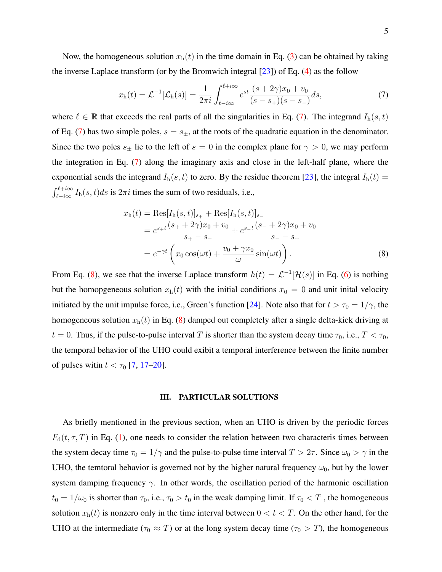Now, the homogeneous solution  $x<sub>h</sub>(t)$  in the time domain in Eq. [\(3\)](#page-3-2) can be obtained by taking the inverse Laplace transform (or by the Bromwich integral  $[23]$ ) of Eq. [\(4\)](#page-3-3) as the follow

<span id="page-4-0"></span>
$$
x_{\rm h}(t) = \mathcal{L}^{-1}[\mathcal{L}_{\rm h}(s)] = \frac{1}{2\pi i} \int_{\ell - i\infty}^{\ell + i\infty} e^{st} \frac{(s + 2\gamma)x_0 + v_0}{(s - s_+)(s - s_-)} ds,\tag{7}
$$

where  $\ell \in \mathbb{R}$  that exceeds the real parts of all the singularities in Eq. [\(7\)](#page-4-0). The integrand  $I_h(s, t)$ of Eq. [\(7\)](#page-4-0) has two simple poles,  $s = s_{\pm}$ , at the roots of the quadratic equation in the denominator. Since the two poles  $s_{\pm}$  lie to the left of  $s = 0$  in the complex plane for  $\gamma > 0$ , we may perform the integration in Eq. [\(7\)](#page-4-0) along the imaginary axis and close in the left-half plane, where the exponential sends the integrand  $I_h(s, t)$  to zero. By the residue theorem [\[23\]](#page-27-3), the integral  $I_h(t)$  =  $\int_{\ell - i\infty}^{\ell + i\infty} I_{h}(s, t) ds$  is  $2\pi i$  times the sum of two residuals, i.e.,

<span id="page-4-1"></span>
$$
x_{h}(t) = \text{Res}[I_{h}(s,t)]_{s_{+}} + \text{Res}[I_{h}(s,t)]_{s_{-}}= e^{s_{+}t} \frac{(s_{+} + 2\gamma)x_{0} + v_{0}}{s_{+} - s_{-}} + e^{s_{-}t} \frac{(s_{-} + 2\gamma)x_{0} + v_{0}}{s_{-} - s_{+}}= e^{-\gamma t} \left(x_{0} \cos(\omega t) + \frac{v_{0} + \gamma x_{0}}{\omega} \sin(\omega t)\right).
$$
(8)

From Eq. [\(8\)](#page-4-1), we see that the inverse Laplace transform  $h(t) = \mathcal{L}^{-1}[\mathcal{H}(s)]$  in Eq. [\(6\)](#page-3-4) is nothing but the homopgeneous solution  $x<sub>h</sub>(t)$  with the initial conditions  $x<sub>0</sub> = 0$  and unit inital velocity initiated by the unit impulse force, i.e., Green's function [\[24\]](#page-27-4). Note also that for  $t > \tau_0 = 1/\gamma$ , the homogeneous solution  $x<sub>h</sub>(t)$  in Eq. [\(8\)](#page-4-1) damped out completely after a single delta-kick driving at  $t = 0$ . Thus, if the pulse-to-pulse interval T is shorter than the system decay time  $\tau_0$ , i.e.,  $T < \tau_0$ , the temporal behavior of the UHO could exibit a temporal interference between the finite number of pulses with  $t < \tau_0$  [\[7,](#page-26-9) [17](#page-26-10)[–20\]](#page-27-0).

## III. PARTICULAR SOLUTIONS

As briefly mentioned in the previous section, when an UHO is driven by the periodic forces  $F_d(t, \tau, T)$  in Eq. [\(1\)](#page-3-5), one needs to consider the relation between two characteris times between the system decay time  $\tau_0 = 1/\gamma$  and the pulse-to-pulse time interval  $T > 2\tau$ . Since  $\omega_0 > \gamma$  in the UHO, the temtoral behavior is governed not by the higher natural frequency  $\omega_0$ , but by the lower system damping frequency  $\gamma$ . In other words, the oscillation period of the harmonic oscillation  $t_0 = 1/\omega_0$  is shorter than  $\tau_0$ , i.e.,  $\tau_0 > t_0$  in the weak damping limit. If  $\tau_0 < T$ , the homogeneous solution  $x_h(t)$  is nonzero only in the time interval between  $0 < t < T$ . On the other hand, for the UHO at the intermediate ( $\tau_0 \approx T$ ) or at the long system decay time ( $\tau_0 > T$ ), the homogeneous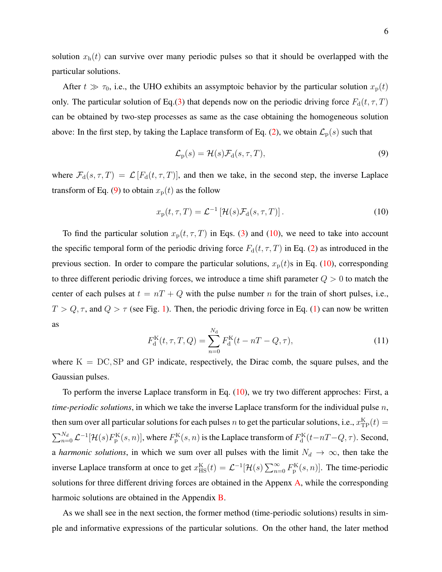solution  $x<sub>h</sub>(t)$  can survive over many periodic pulses so that it should be overlapped with the particular solutions.

After  $t \gg \tau_0$ , i.e., the UHO exhibits an assymptoic behavior by the particular solution  $x_p(t)$ only. The particular solution of Eq.[\(3\)](#page-3-2) that depends now on the periodic driving force  $F_d(t, \tau, T)$ can be obtained by two-step processes as same as the case obtaining the homogeneous solution above: In the first step, by taking the Laplace transform of Eq. [\(2\)](#page-3-0), we obtain  $\mathcal{L}_p(s)$  such that

<span id="page-5-1"></span><span id="page-5-0"></span>
$$
\mathcal{L}_{\mathbf{p}}(s) = \mathcal{H}(s)\mathcal{F}_{\mathbf{d}}(s,\tau,T),\tag{9}
$$

where  $\mathcal{F}_d(s, \tau, T) = \mathcal{L}[F_d(t, \tau, T)]$ , and then we take, in the second step, the inverse Laplace transform of Eq. [\(9\)](#page-5-0) to obtain  $x_p(t)$  as the follow

$$
x_{\mathbf{p}}(t,\tau,T) = \mathcal{L}^{-1}\left[\mathcal{H}(s)\mathcal{F}_{\mathbf{d}}(s,\tau,T)\right].\tag{10}
$$

To find the particular solution  $x_p(t, \tau, T)$  in Eqs. [\(3\)](#page-3-2) and [\(10\)](#page-5-1), we need to take into account the specific temporal form of the periodic driving force  $F_d(t, \tau, T)$  in Eq. [\(2\)](#page-3-0) as introduced in the previous section. In order to compare the particular solutions,  $x_p(t)$ s in Eq. [\(10\)](#page-5-1), corresponding to three different periodic driving forces, we introduce a time shift parameter  $Q > 0$  to match the center of each pulses at  $t = nT + Q$  with the pulse number n for the train of short pulses, i.e.,  $T > Q, \tau$ , and  $Q > \tau$  (see Fig. [1\)](#page-2-0). Then, the periodic driving force in Eq. [\(1\)](#page-3-5) can now be written as

$$
F_{\rm d}^{\rm K}(t,\tau,T,Q) = \sum_{n=0}^{N_{\rm d}} F_{\rm d}^{\rm K}(t-nT-Q,\tau),\tag{11}
$$

where  $K = DC$ , SP and GP indicate, respectively, the Dirac comb, the square pulses, and the Gaussian pulses.

To perform the inverse Laplace transform in Eq. [\(10\)](#page-5-1), we try two different approches: First, a *time-periodic solutions*, in which we take the inverse Laplace transform for the individual pulse n, then sum over all particular solutions for each pulses  $n$  to get the particular solutions, i.e.,  $x_{\text{TP}}^{\text{K}}(t) =$  $\sum_{n=0}^{N_d} \mathcal{L}^{-1}[\mathcal{H}(s)F_{\rm p}^{\rm K}(s,n)]$ , where  $F_{\rm p}^{\rm K}(s,n)$  is the Laplace transform of  $F_{\rm d}^{\rm K}(t-nT-Q,\tau)$ . Second, a *harmonic solutions*, in which we sum over all pulses with the limit  $N_d \to \infty$ , then take the inverse Laplace transform at once to get  $x_{\text{HS}}^{\text{K}}(t) = \mathcal{L}^{-1}[\mathcal{H}(s) \sum_{n=0}^{\infty} F_{p}^{\text{K}}(s,n)]$ . The time-periodic solutions for three different driving forces are obtained in the Appenx [A,](#page-15-0) while the corresponding harmoic solutions are obtained in the Appendix [B.](#page-19-0)

As we shall see in the next section, the former method (time-periodic solutions) results in simple and informative expressions of the particular solutions. On the other hand, the later method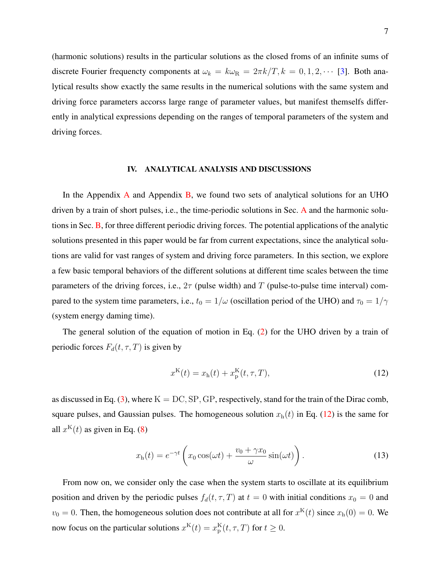(harmonic solutions) results in the particular solutions as the closed froms of an infinite sums of discrete Fourier frequencty components at  $\omega_k = k\omega_R = 2\pi k/T$ ,  $k = 0, 1, 2, \cdots$  [\[3\]](#page-26-5). Both analytical results show exactly the same results in the numerical solutions with the same system and driving force parameters accorss large range of parameter values, but manifest themselfs differently in analytical expressions depending on the ranges of temporal parameters of the system and driving forces.

## IV. ANALYTICAL ANALYSIS AND DISCUSSIONS

In the [A](#page-15-0)ppendix  $\overline{A}$  and Appendix  $\overline{B}$ , we found two sets of analytical solutions for an UHO driven by a train of short pulses, i.e., the time-periodic solutions in Sec. [A](#page-15-0) and the harmonic solutions in Sec. [B,](#page-19-0) for three different periodic driving forces. The potential applications of the analytic solutions presented in this paper would be far from current expectations, since the analytical solutions are valid for vast ranges of system and driving force parameters. In this section, we explore a few basic temporal behaviors of the different solutions at different time scales between the time parameters of the driving forces, i.e.,  $2\tau$  (pulse width) and T (pulse-to-pulse time interval) compared to the system time parameters, i.e.,  $t_0 = 1/\omega$  (oscillation period of the UHO) and  $\tau_0 = 1/\gamma$ (system energy daming time).

The general solution of the equation of motion in Eq. [\(2\)](#page-3-0) for the UHO driven by a train of periodic forces  $F_d(t, \tau, T)$  is given by

<span id="page-6-0"></span>
$$
x^{K}(t) = x_{h}(t) + x_{p}^{K}(t, \tau, T),
$$
\n(12)

as discussed in Eq. [\(3\)](#page-3-2), where  $K = DC$ ,  $SP$ ,  $GP$ , respectively, stand for the train of the Dirac comb, square pulses, and Gaussian pulses. The homogeneous solution  $x<sub>h</sub>(t)$  in Eq. [\(12\)](#page-6-0) is the same for all  $x^{K}(t)$  as given in Eq. [\(8\)](#page-4-1)

$$
x_{\rm h}(t) = e^{-\gamma t} \left( x_0 \cos(\omega t) + \frac{v_0 + \gamma x_0}{\omega} \sin(\omega t) \right). \tag{13}
$$

From now on, we consider only the case when the system starts to oscillate at its equilibrium position and driven by the periodic pulses  $f_d(t, \tau, T)$  at  $t = 0$  with initial conditions  $x_0 = 0$  and  $v_0 = 0$ . Then, the homogeneous solution does not contribute at all for  $x^{K}(t)$  since  $x_{h}(0) = 0$ . We now focus on the particular solutions  $x^{K}(t) = x_{p}^{K}(t, \tau, T)$  for  $t \ge 0$ .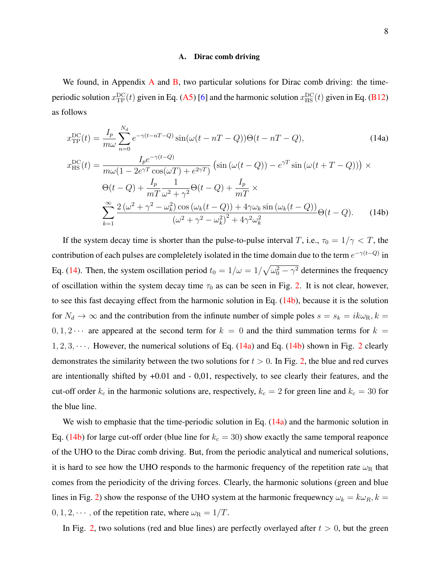#### A. Dirac comb driving

We found, in [A](#page-15-0)ppendix  $\overline{A}$  and  $\overline{B}$ , two particular solutions for Dirac comb driving: the timeperiodic solution  $x_{\text{TP}}^{\text{DC}}(t)$  given in Eq. [\(A5\)](#page-16-0) [\[6\]](#page-26-7) and the harmonic solution  $x_{\text{HS}}^{\text{DC}}(t)$  given in Eq. [\(B12\)](#page-21-0) as follows

<span id="page-7-1"></span><span id="page-7-0"></span>
$$
x_{\text{TP}}^{\text{DC}}(t) = \frac{I_p}{m\omega} \sum_{n=0}^{N_d} e^{-\gamma(t - nT - Q)} \sin(\omega(t - nT - Q)) \Theta(t - nT - Q), \qquad (14a)
$$
  
\n
$$
x_{\text{HS}}^{\text{DC}}(t) = \frac{I_p e^{-\gamma(t - Q)}}{m\omega(1 - 2e^{\gamma T} \cos(\omega T) + e^{2\gamma T})} \left( \sin(\omega(t - Q)) - e^{\gamma T} \sin(\omega(t + T - Q)) \right) \times
$$
  
\n
$$
\Theta(t - Q) + \frac{I_p}{mT} \frac{1}{\omega^2 + \gamma^2} \Theta(t - Q) + \frac{I_p}{mT} \times
$$
  
\n
$$
\sum_{k=1}^{\infty} \frac{2(\omega^2 + \gamma^2 - \omega_k^2) \cos(\omega_k(t - Q)) + 4\gamma \omega_k \sin(\omega_k(t - Q))}{(\omega^2 + \gamma^2 - \omega_k^2)^2 + 4\gamma^2 \omega_k^2} \Theta(t - Q). \qquad (14b)
$$

If the system decay time is shorter than the pulse-to-pulse interval T, i.e.,  $\tau_0 = 1/\gamma < T$ , the contribution of each pulses are compleletely isolated in the time domain due to the term  $e^{-\gamma(t-Q)}$  in Eq. [\(14\)](#page-7-0). Then, the system oscillation period  $t_0 = 1/\omega = 1/\sqrt{\omega_0^2 - \gamma^2}$  determines the frequency of oscillation within the system decay time  $\tau_0$  as can be seen in Fig. [2.](#page-8-0) It is not clear, however, to see this fast decaying effect from the harmonic solution in Eq.  $(14b)$ , because it is the solution for  $N_d \to \infty$  and the contribution from the infinute number of simple poles  $s = s_k = ik\omega_{\rm R}$ ,  $k =$  $0, 1, 2 \cdots$  are appeared at the second term for  $k = 0$  and the third summation terms for  $k = 0$  $1, 2, 3, \cdots$  $1, 2, 3, \cdots$  $1, 2, 3, \cdots$ . However, the numerical solutions of Eq. [\(14a\)](#page-7-1) and Eq. [\(14b\)](#page-7-1) shown in Fig. 2 clearly demonstrates the similarity between the two solutions for  $t > 0$ . In Fig. [2,](#page-8-0) the blue and red curves are intentionally shifted by +0.01 and - 0,01, respectively, to see clearly their features, and the cut-off order  $k_c$  in the harmonic solutions are, respectively,  $k_c = 2$  for green line and  $k_c = 30$  for the blue line.

We wish to emphasie that the time-periodic solution in Eq.  $(14a)$  and the harmonic solution in Eq. [\(14b\)](#page-7-1) for large cut-off order (blue line for  $k_c = 30$ ) show exactly the same temporal reaponce of the UHO to the Dirac comb driving. But, from the periodic analytical and numerical solutions, it is hard to see how the UHO responds to the harmonic frequency of the repetition rate  $\omega_R$  that comes from the periodicity of the driving forces. Clearly, the harmonic solutions (green and blue lines in Fig. [2\)](#page-8-0) show the response of the UHO system at the harmonic frequewncy  $\omega_k = k \omega_R$ ,  $k =$  $0, 1, 2, \dots$ , of the repetition rate, where  $\omega_R = 1/T$ .

In Fig. [2,](#page-8-0) two solutions (red and blue lines) are perfectly overlayed after  $t > 0$ , but the green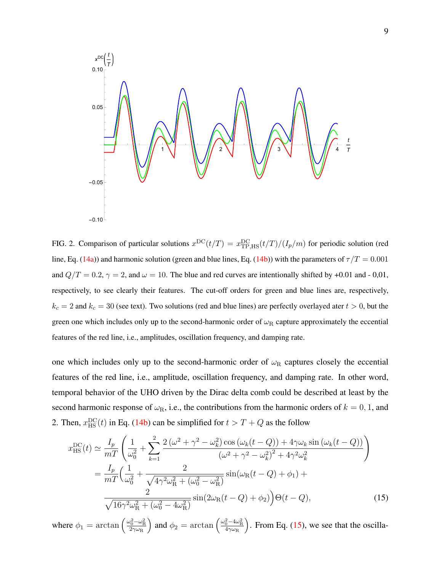

<span id="page-8-0"></span>FIG. 2. Comparison of particular solutions  $x^{DC}(t/T) = x_{\text{TP,HS}}^{DC}(t/T)/(I_p/m)$  for periodic solution (red line, Eq. [\(14a\)](#page-7-1)) and harmonic solution (green and blue lines, Eq. [\(14b\)](#page-7-1)) with the parameters of  $\tau/T = 0.001$ and  $Q/T = 0.2$ ,  $\gamma = 2$ , and  $\omega = 10$ . The blue and red curves are intentionally shifted by +0.01 and - 0,01, respectively, to see clearly their features. The cut-off orders for green and blue lines are, respectively,  $k_c = 2$  and  $k_c = 30$  (see text). Two solutions (red and blue lines) are perfectly overlayed ater  $t > 0$ , but the green one which includes only up to the second-harmonic order of  $\omega_R$  capture approximately the eccential features of the red line, i.e., amplitudes, oscillation frequency, and damping rate.

one which includes only up to the second-harmonic order of  $\omega_R$  captures closely the eccential features of the red line, i.e., amplitude, oscillation frequency, and damping rate. In other word, temporal behavior of the UHO driven by the Dirac delta comb could be described at least by the second harmonic response of  $\omega_R$ , i.e., the contributions from the harmonic orders of  $k = 0, 1$ , and 2. Then,  $x_{\text{HS}}^{\text{DC}}(t)$  in Eq. [\(14b\)](#page-7-1) can be simplified for  $t > T + Q$  as the follow

<span id="page-8-1"></span>
$$
x_{\rm HS}^{\rm DC}(t) \simeq \frac{I_p}{mT} \left( \frac{1}{\omega_0^2} + \sum_{k=1}^2 \frac{2(\omega^2 + \gamma^2 - \omega_k^2) \cos(\omega_k(t - Q)) + 4\gamma \omega_k \sin(\omega_k(t - Q))}{(\omega^2 + \gamma^2 - \omega_k^2)^2 + 4\gamma^2 \omega_k^2} \right)
$$
  
= 
$$
\frac{I_p}{mT} \left( \frac{1}{\omega_0^2} + \frac{2}{\sqrt{4\gamma^2 \omega_R^2 + (\omega_0^2 - \omega_R^2)}} \sin(\omega_R(t - Q) + \phi_1) + \frac{2}{\sqrt{16\gamma^2 \omega_R^2 + (\omega_0^2 - 4\omega_R^2)}} \sin(2\omega_R(t - Q) + \phi_2) \right) \Theta(t - Q),
$$
 (15)

where  $\phi_1 = \arctan \left( \frac{\omega_0^2 - \omega_{\rm R}^2}{2\gamma \omega_{\rm R}} \right)$ ) and  $\phi_2 = \arctan \left( \frac{\omega_0^2 - 4\omega_{\rm R}^2}{4\gamma \omega_{\rm R}} \right)$ ). From Eq.  $(15)$ , we see that the oscilla-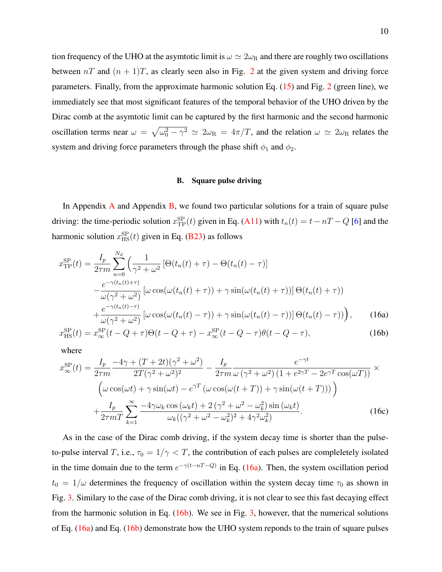tion frequency of the UHO at the asymtotic limit is  $\omega \simeq 2\omega_R$  and there are roughly two oscillations between  $nT$  and  $(n + 1)T$ , as clearly seen also in Fig. [2](#page-8-0) at the given system and driving force parameters. Finally, from the approximate harmonic solution Eq. [\(15\)](#page-8-1) and Fig. [2](#page-8-0) (green line), we immediately see that most significant features of the temporal behavior of the UHO driven by the Dirac comb at the asymtotic limit can be captured by the first harmonic and the second harmonic oscillation terms near  $\omega = \sqrt{\omega_0^2 - \gamma^2} \simeq 2\omega_R = 4\pi/T$ , and the relation  $\omega \simeq 2\omega_R$  relates the system and driving force parameters through the phase shift  $\phi_1$  and  $\phi_2$ .

## B. Square pulse driving

In [A](#page-15-0)ppendix A and Appendix [B,](#page-19-0) we found two particular solutions for a train of square pulse driving: the time-periodic solution  $x_{\text{TP}}^{\text{SP}}(t)$  given in Eq. [\(A11\)](#page-17-0) with  $t_n(t) = t - nT - Q$  [\[6\]](#page-26-7) and the harmonic solution  $x_{\text{HS}}^{\text{SP}}(t)$  given in Eq. [\(B23\)](#page-23-0) as follows

$$
x_{\text{TP}}^{\text{SP}}(t) = \frac{I_p}{2\tau m} \sum_{n=0}^{N_d} \left( \frac{1}{\gamma^2 + \omega^2} \left[ \Theta(t_n(t) + \tau) - \Theta(t_n(t) - \tau) \right] - \frac{e^{-\gamma(t_n(t) + \tau)}}{\omega(\gamma^2 + \omega^2)} \left[ \omega \cos(\omega(t_n(t) + \tau)) + \gamma \sin(\omega(t_n(t) + \tau)) \right] \Theta(t_n(t) + \tau) \right) + \frac{e^{-\gamma(t_n(t) - \tau)}}{\omega(\gamma^2 + \omega^2)} \left[ \omega \cos(\omega(t_n(t) - \tau)) + \gamma \sin(\omega(t_n(t) - \tau)) \right] \Theta(t_n(t) - \tau) \right), \tag{16a}
$$

$$
x_{\rm HS}^{\rm SP}(t) = x_{\infty}^{\rm SP}(t - Q + \tau)\Theta(t - Q + \tau) - x_{\infty}^{\rm SP}(t - Q - \tau)\theta(t - Q - \tau),\tag{16b}
$$

where

$$
x_{\infty}^{\rm SP}(t) = \frac{I_p}{2\tau m} \frac{-4\gamma + (T + 2t)(\gamma^2 + \omega^2)}{2T(\gamma^2 + \omega^2)^2} - \frac{I_p}{2\tau m} \frac{e^{-\gamma t}}{\omega(\gamma^2 + \omega^2) (1 + e^{2\gamma T} - 2e^{\gamma T} \cos(\omega T))} \times
$$
  

$$
\left(\omega \cos(\omega t) + \gamma \sin(\omega t) - e^{\gamma T} (\omega \cos(\omega (t + T)) + \gamma \sin(\omega (t + T)))\right)
$$

$$
+ \frac{I_p}{2\tau m T} \sum_{k=1}^{\infty} \frac{-4\gamma \omega_k \cos(\omega_k t) + 2(\gamma^2 + \omega^2 - \omega_k^2) \sin(\omega_k t)}{\omega_k ((\gamma^2 + \omega^2 - \omega_k^2)^2 + 4\gamma^2 \omega_k^2)}.
$$
(16c)

As in the case of the Dirac comb driving, if the system decay time is shorter than the pulseto-pulse interval T, i.e.,  $\tau_0 = 1/\gamma < T$ , the contribution of each pulses are compleletely isolated in the time domain due to the term  $e^{-\gamma(t-nT-Q)}$  in Eq. [\(16a\)](#page-7-1). Then, the system oscillation period  $t_0 = 1/\omega$  determines the frequency of oscillation within the system decay time  $\tau_0$  as shown in Fig. [3.](#page-10-0) Similary to the case of the Dirac comb driving, it is not clear to see this fast decaying effect from the harmonic solution in Eq.  $(16b)$ . We see in Fig. [3,](#page-10-0) however, that the numerical solutions of Eq. [\(16a\)](#page-7-1) and Eq. [\(16b\)](#page-7-1) demonstrate how the UHO system reponds to the train of square pulses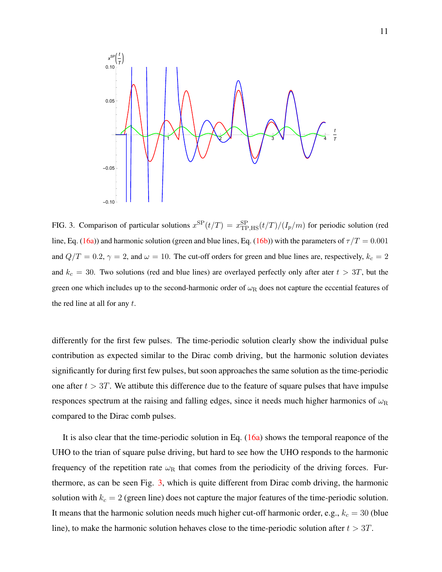

<span id="page-10-0"></span>FIG. 3. Comparison of particular solutions  $x^{\text{SP}}(t/T) = x^{\text{SP}}_{\text{TP,HS}}(t/T)/(I_p/m)$  for periodic solution (red line, Eq. [\(16a\)](#page-7-1)) and harmonic solution (green and blue lines, Eq. [\(16b\)](#page-7-1)) with the parameters of  $\tau/T = 0.001$ and  $Q/T = 0.2$ ,  $\gamma = 2$ , and  $\omega = 10$ . The cut-off orders for green and blue lines are, respectively,  $k_c = 2$ and  $k_c = 30$ . Two solutions (red and blue lines) are overlayed perfectly only after ater  $t > 3T$ , but the green one which includes up to the second-harmonic order of  $\omega_R$  does not capture the eccential features of the red line at all for any  $t$ .

differently for the first few pulses. The time-periodic solution clearly show the individual pulse contribution as expected similar to the Dirac comb driving, but the harmonic solution deviates significantly for during first few pulses, but soon approaches the same solution as the time-periodic one after  $t > 3T$ . We attibute this difference due to the feature of square pulses that have impulse responces spectrum at the raising and falling edges, since it needs much higher harmonics of  $\omega_R$ compared to the Dirac comb pulses.

It is also clear that the time-periodic solution in Eq. [\(16a\)](#page-7-1) shows the temporal reaponce of the UHO to the trian of square pulse driving, but hard to see how the UHO responds to the harmonic frequency of the repetition rate  $\omega_R$  that comes from the periodicity of the driving forces. Furthermore, as can be seen Fig. [3,](#page-10-0) which is quite different from Dirac comb driving, the harmonic solution with  $k_c = 2$  (green line) does not capture the major features of the time-periodic solution. It means that the harmonic solution needs much higher cut-off harmonic order, e.g.,  $k_c = 30$  (blue line), to make the harmonic solution hehaves close to the time-periodic solution after  $t > 3T$ .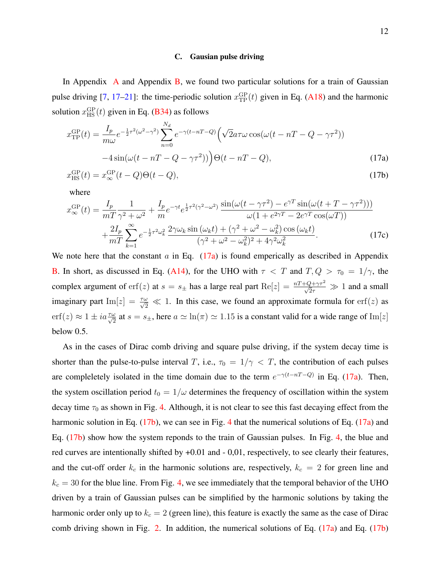#### C. Gausian pulse driving

In [A](#page-15-0)ppendix A and Appendix [B,](#page-19-0) we found two particular solutions for a train of Gaussian pulse driving [\[7,](#page-26-9) [17–](#page-26-10)[21\]](#page-27-1): the time-periodic solution  $x_{\text{TP}}^{\text{GP}}(t)$  given in Eq. [\(A18\)](#page-18-0) and the harmonic solution  $x_{\text{HS}}^{\text{GP}}(t)$  given in Eq. [\(B34\)](#page-25-1) as follows

$$
x_{\text{TP}}^{\text{GP}}(t) = \frac{I_p}{m\omega} e^{-\frac{1}{2}\tau^2(\omega^2 - \gamma^2)} \sum_{n=0}^{N_d} e^{-\gamma(t - nT - Q)} \left( \sqrt{2} a\tau \omega \cos(\omega(t - nT - Q - \gamma \tau^2)) -4 \sin(\omega(t - nT - Q - \gamma \tau^2)) \right) \Theta(t - nT - Q), \tag{17a}
$$

$$
x_{\rm HS}^{\rm GP}(t) = x_{\infty}^{\rm GP}(t - Q)\Theta(t - Q),\tag{17b}
$$

where

$$
x_{\infty}^{\text{GP}}(t) = \frac{I_p}{mT} \frac{1}{\gamma^2 + \omega^2} + \frac{I_p}{m} e^{-\gamma t} e^{\frac{1}{2}\tau^2(\gamma^2 - \omega^2)} \frac{\sin(\omega(t - \gamma\tau^2) - e^{\gamma T} \sin(\omega(t + T - \gamma\tau^2)))}{\omega(1 + e^{2\gamma T} - 2e^{\gamma T} \cos(\omega T))} + \frac{2I_p}{mT} \sum_{k=1}^{\infty} e^{-\frac{1}{2}\tau^2 \omega_k^2} \frac{2\gamma\omega_k \sin(\omega_k t) + (\gamma^2 + \omega^2 - \omega_k^2) \cos(\omega_k t)}{(\gamma^2 + \omega^2 - \omega_k^2)^2 + 4\gamma^2 \omega_k^2}.
$$
(17c)

We note here that the constant  $\alpha$  in Eq. [\(17a\)](#page-7-1) is found emperically as described in Appendix [B.](#page-19-0) In short, as discussed in Eq. [\(A14\)](#page-18-1), for the UHO with  $\tau < T$  and  $T, Q > \tau_0 = 1/\gamma$ , the complex argument of  $erf(z)$  at  $s = s_{\pm}$  has a large real part  $Re[z] = \frac{nT + Q + \gamma \tau^2}{\sqrt{2}\tau} \gg 1$  and a small imaginary part  $\text{Im}[z] = \frac{\tau \omega}{\sqrt{2}} \ll 1$ . In this case, we found an approximate formula for erf(*z*) as  $\text{erf}(z) \approx 1 \pm i a \frac{\tau \omega}{\sqrt{2}}$  at  $s = s_{\pm}$ , here  $a \simeq \ln(\pi) \simeq 1.15$  is a constant valid for a wide range of  $\text{Im}[z]$ below 0.5.

As in the cases of Dirac comb driving and square pulse driving, if the system decay time is shorter than the pulse-to-pulse interval T, i.e.,  $\tau_0 = 1/\gamma < T$ , the contribution of each pulses are compleletely isolated in the time domain due to the term  $e^{-\gamma(t-nT-Q)}$  in Eq. [\(17a\)](#page-7-1). Then, the system oscillation period  $t_0 = 1/\omega$  determines the frequency of oscillation within the system decay time  $\tau_0$  as shown in Fig. [4.](#page-12-0) Although, it is not clear to see this fast decaying effect from the harmonic solution in Eq. [\(17b\)](#page-7-1), we can see in Fig. [4](#page-12-0) that the numerical solutions of Eq. [\(17a\)](#page-7-1) and Eq. [\(17b\)](#page-7-1) show how the system reponds to the train of Gaussian pulses. In Fig. [4,](#page-12-0) the blue and red curves are intentionally shifted by +0.01 and - 0,01, respectively, to see clearly their features, and the cut-off order  $k_c$  in the harmonic solutions are, respectively,  $k_c = 2$  for green line and  $k_c = 30$  for the blue line. From Fig. [4,](#page-12-0) we see immediately that the temporal behavior of the UHO driven by a train of Gaussian pulses can be simplified by the harmonic solutions by taking the harmonic order only up to  $k_c = 2$  (green line), this feature is exactly the same as the case of Dirac comb driving shown in Fig. [2.](#page-8-0) In addition, the numerical solutions of Eq.  $(17a)$  and Eq.  $(17b)$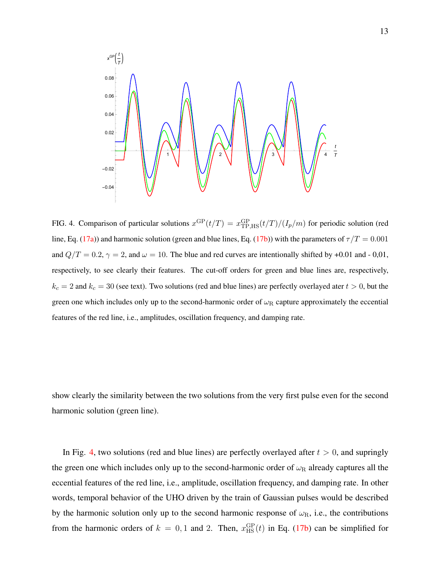

<span id="page-12-0"></span>FIG. 4. Comparison of particular solutions  $x^{\text{GP}}(t/T) = x_{\text{TP,HS}}^{\text{GP}}(t/T)/(I_p/m)$  for periodic solution (red line, Eq. [\(17a\)](#page-7-1)) and harmonic solution (green and blue lines, Eq. [\(17b\)](#page-7-1)) with the parameters of  $\tau/T = 0.001$ and  $Q/T = 0.2$ ,  $\gamma = 2$ , and  $\omega = 10$ . The blue and red curves are intentionally shifted by +0.01 and - 0,01, respectively, to see clearly their features. The cut-off orders for green and blue lines are, respectively,  $k_c = 2$  and  $k_c = 30$  (see text). Two solutions (red and blue lines) are perfectly overlayed ater  $t > 0$ , but the green one which includes only up to the second-harmonic order of  $\omega_R$  capture approximately the eccential features of the red line, i.e., amplitudes, oscillation frequency, and damping rate.

show clearly the similarity between the two solutions from the very first pulse even for the second harmonic solution (green line).

In Fig. [4,](#page-12-0) two solutions (red and blue lines) are perfectly overlayed after  $t > 0$ , and supringly the green one which includes only up to the second-harmonic order of  $\omega_R$  already captures all the eccential features of the red line, i.e., amplitude, oscillation frequency, and damping rate. In other words, temporal behavior of the UHO driven by the train of Gaussian pulses would be described by the harmonic solution only up to the second harmonic response of  $\omega_R$ , i.e., the contributions from the harmonic orders of  $k = 0, 1$  and 2. Then,  $x_{\text{HS}}^{\text{GP}}(t)$  in Eq. [\(17b\)](#page-7-1) can be simplified for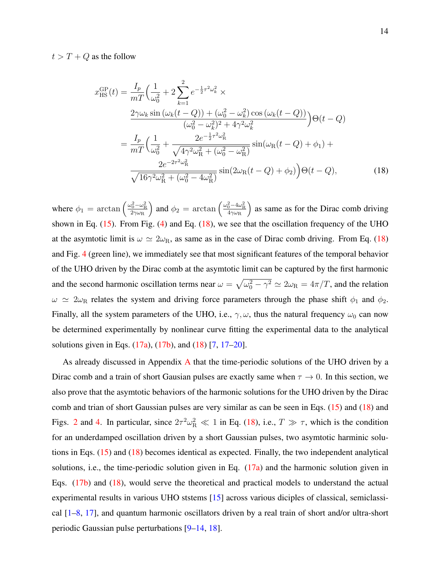$t > T + Q$  as the follow

<span id="page-13-0"></span>
$$
x_{\rm HS}^{\rm GP}(t) = \frac{I_p}{mT} \Big( \frac{1}{\omega_0^2} + 2 \sum_{k=1}^2 e^{-\frac{1}{2}\tau^2 \omega_k^2} \times \n\frac{2\gamma \omega_k \sin(\omega_k (t - Q)) + (\omega_0^2 - \omega_k^2) \cos(\omega_k (t - Q))}{(\omega_0^2 - \omega_k^2)^2 + 4\gamma^2 \omega_k^2} \Big) \Theta(t - Q) \n= \frac{I_p}{mT} \Big( \frac{1}{\omega_0^2} + \frac{2e^{-\frac{1}{2}\tau^2 \omega_{\rm R}^2}}{\sqrt{4\gamma^2 \omega_{\rm R}^2 + (\omega_0^2 - \omega_{\rm R}^2)}} \sin(\omega_{\rm R}(t - Q) + \phi_1) + \n\frac{2e^{-2\tau^2 \omega_{\rm R}^2}}{\sqrt{16\gamma^2 \omega_{\rm R}^2 + (\omega_0^2 - 4\omega_{\rm R}^2)}} \sin(2\omega_{\rm R}(t - Q) + \phi_2) \Big) \Theta(t - Q),
$$
\n(18)

where  $\phi_1 = \arctan \left( \frac{\omega_0^2 - \omega_{\rm R}^2}{2\gamma \omega_{\rm R}} \right)$ ) and  $\phi_2 = \arctan \left( \frac{\omega_0^2 - 4\omega_{\rm R}^2}{4\gamma \omega_{\rm R}} \right)$ ) as same as for the Dirac comb driving shown in Eq.  $(15)$ . From Fig.  $(4)$  and Eq.  $(18)$ , we see that the oscillation frequency of the UHO at the asymtotic limit is  $\omega \simeq 2\omega_R$ , as same as in the case of Dirac comb driving. From Eq. [\(18\)](#page-13-0) and Fig. [4](#page-12-0) (green line), we immediately see that most significant features of the temporal behavior of the UHO driven by the Dirac comb at the asymtotic limit can be captured by the first harmonic and the second harmonic oscillation terms near  $\omega = \sqrt{\omega_0^2 - \gamma^2} \simeq 2\omega_R = 4\pi/T$ , and the relation  $\omega \simeq 2\omega_R$  relates the system and driving force parameters through the phase shift  $\phi_1$  and  $\phi_2$ . Finally, all the system parameters of the UHO, i.e.,  $\gamma$ ,  $\omega$ , thus the natural frequency  $\omega_0$  can now be determined experimentally by nonlinear curve fitting the experimental data to the analytical solutions given in Eqs. [\(17a\)](#page-7-1), [\(17b\)](#page-7-1), and [\(18\)](#page-13-0) [\[7,](#page-26-9) [17–](#page-26-10)[20\]](#page-27-0).

As already discussed in Appendix [A](#page-15-0) that the time-periodic solutions of the UHO driven by a Dirac comb and a train of short Gausian pulses are exactly same when  $\tau \to 0$ . In this section, we also prove that the asymtotic behaviors of the harmonic solutions for the UHO driven by the Dirac comb and trian of short Gaussian pulses are very similar as can be seen in Eqs. [\(15\)](#page-8-1) and [\(18\)](#page-13-0) and Figs. [2](#page-8-0) and [4.](#page-12-0) In particular, since  $2\tau^2 \omega_R^2 \ll 1$  in Eq. [\(18\)](#page-13-0), i.e.,  $T \gg \tau$ , which is the condition for an underdamped oscillation driven by a short Gaussian pulses, two asymtotic harminic solutions in Eqs. [\(15\)](#page-8-1) and [\(18\)](#page-13-0) becomes identical as expected. Finally, the two independent analytical solutions, i.e., the time-periodic solution given in Eq.  $(17a)$  and the harmonic solution given in Eqs. [\(17b\)](#page-7-1) and [\(18\)](#page-13-0), would serve the theoretical and practical models to understand the actual experimental results in various UHO ststems [\[15\]](#page-26-3) across various diciples of classical, semiclassical [\[1](#page-25-0)[–8,](#page-26-0) [17\]](#page-26-10), and quantum harmonic oscillators driven by a real train of short and/or ultra-short periodic Gaussian pulse perturbations [\[9](#page-26-1)[–14,](#page-26-2) [18\]](#page-26-11).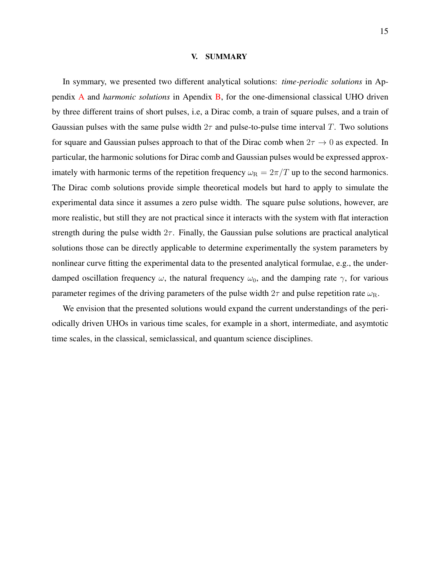#### V. SUMMARY

In symmary, we presented two different analytical solutions: *time-periodic solutions* in Appendix [A](#page-15-0) and *harmonic solutions* in Apendix [B,](#page-19-0) for the one-dimensional classical UHO driven by three different trains of short pulses, i.e, a Dirac comb, a train of square pulses, and a train of Gaussian pulses with the same pulse width  $2\tau$  and pulse-to-pulse time interval T. Two solutions for square and Gaussian pulses approach to that of the Dirac comb when  $2\tau \to 0$  as expected. In particular, the harmonic solutions for Dirac comb and Gaussian pulses would be expressed approximately with harmonic terms of the repetition frequency  $\omega_R = 2\pi/T$  up to the second harmonics. The Dirac comb solutions provide simple theoretical models but hard to apply to simulate the experimental data since it assumes a zero pulse width. The square pulse solutions, however, are more realistic, but still they are not practical since it interacts with the system with flat interaction strength during the pulse width  $2\tau$ . Finally, the Gaussian pulse solutions are practical analytical solutions those can be directly applicable to determine experimentally the system parameters by nonlinear curve fitting the experimental data to the presented analytical formulae, e.g., the underdamped oscillation frequency  $\omega$ , the natural frequency  $\omega_0$ , and the damping rate  $\gamma$ , for various parameter regimes of the driving parameters of the pulse width  $2\tau$  and pulse repetition rate  $\omega_{\rm R}$ .

We envision that the presented solutions would expand the current understandings of the periodically driven UHOs in various time scales, for example in a short, intermediate, and asymtotic time scales, in the classical, semiclassical, and quantum science disciplines.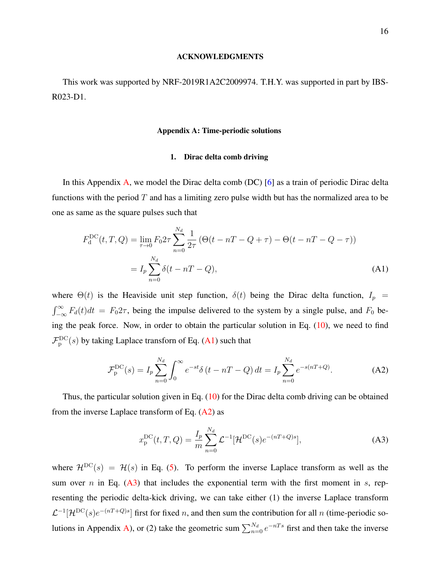#### ACKNOWLEDGMENTS

This work was supported by NRF-2019R1A2C2009974. T.H.Y. was supported in part by IBS-R023-D1.

## <span id="page-15-0"></span>Appendix A: Time-periodic solutions

## 1. Dirac delta comb driving

In this Appendix [A,](#page-15-0) we model the Dirac delta comb (DC) [\[6\]](#page-26-7) as a train of periodic Dirac delta functions with the period  $T$  and has a limiting zero pulse width but has the normalized area to be one as same as the square pulses such that

<span id="page-15-1"></span>
$$
F_d^{DC}(t, T, Q) = \lim_{\tau \to 0} F_0 2\tau \sum_{n=0}^{N_d} \frac{1}{2\tau} \left( \Theta(t - nT - Q + \tau) - \Theta(t - nT - Q - \tau) \right)
$$
  
= 
$$
I_p \sum_{n=0}^{N_d} \delta(t - nT - Q),
$$
 (A1)

where  $\Theta(t)$  is the Heaviside unit step function,  $\delta(t)$  being the Dirac delta function,  $I_p$  =  $\int_{-\infty}^{\infty} F_d(t)dt = F_0 2\tau$ , being the impulse delivered to the system by a single pulse, and  $F_0$  being the peak force. Now, in order to obtain the particular solution in Eq. [\(10\)](#page-5-1), we need to find  $\mathcal{F}_{\rm p}^{\rm DC}(s)$  by taking Laplace transforn of Eq. [\(A1\)](#page-15-1) such that

<span id="page-15-2"></span>
$$
\mathcal{F}_{\rm p}^{\rm DC}(s) = I_p \sum_{n=0}^{N_d} \int_0^\infty e^{-st} \delta(t - nT - Q) dt = I_p \sum_{n=0}^{N_d} e^{-s(nT + Q)}.
$$
 (A2)

Thus, the particular solution given in Eq.  $(10)$  for the Dirac delta comb driving can be obtained from the inverse Laplace transform of Eq.  $(A2)$  as

<span id="page-15-3"></span>
$$
x_{\rm p}^{\rm DC}(t, T, Q) = \frac{I_p}{m} \sum_{n=0}^{N_d} \mathcal{L}^{-1} [\mathcal{H}^{\rm DC}(s) e^{-(nT+Q)s}], \tag{A3}
$$

where  $\mathcal{H}^{DC}(s) = \mathcal{H}(s)$  in Eq. [\(5\)](#page-3-1). To perform the inverse Laplace transform as well as the sum over n in Eq.  $(A3)$  that includes the exponential term with the first moment in s, representing the periodic delta-kick driving, we can take either (1) the inverse Laplace transform  $\mathcal{L}^{-1}[\mathcal{H}^{DC}(s)e^{-(nT+Q)s}]$  first for fixed n, and then sum the contribution for all n (time-periodic so-lutions in Appendix [A\)](#page-15-0), or (2) take the geometric sum  $\sum_{n=0}^{N_d} e^{-nTs}$  first and then take the inverse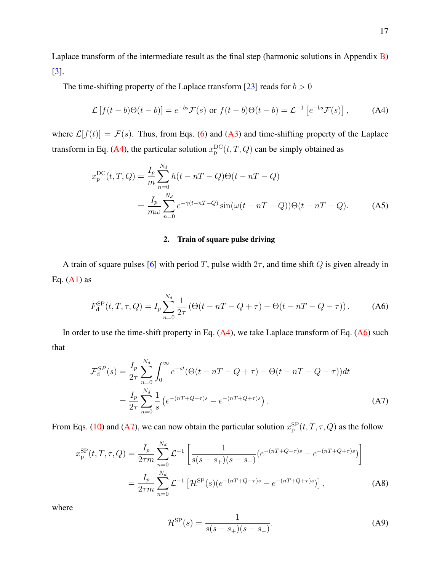Laplace transform of the intermediate result as the final step (harmonic solutions in Appendix [B\)](#page-19-0) [\[3\]](#page-26-5).

The time-shifting property of the Laplace transform [\[23\]](#page-27-3) reads for  $b > 0$ 

$$
\mathcal{L}[f(t-b)\Theta(t-b)] = e^{-bs}\mathcal{F}(s) \text{ or } f(t-b)\Theta(t-b) = \mathcal{L}^{-1}[e^{-bs}\mathcal{F}(s)],\tag{A4}
$$

where  $\mathcal{L}[f(t)] = \mathcal{F}(s)$ . Thus, from Eqs. [\(6\)](#page-3-4) and [\(A3\)](#page-15-3) and time-shifting property of the Laplace transform in Eq. [\(A4\)](#page-16-1), the particular solution  $x_{\rm p}^{\rm DC}(t, T, Q)$  can be simply obtained as

<span id="page-16-0"></span>
$$
x_{\rm p}^{\rm DC}(t, T, Q) = \frac{I_p}{m} \sum_{n=0}^{N_d} h(t - nT - Q)\Theta(t - nT - Q)
$$
  
= 
$$
\frac{I_p}{m\omega} \sum_{n=0}^{N_d} e^{-\gamma(t - nT - Q)} \sin(\omega(t - nT - Q))\Theta(t - nT - Q).
$$
 (A5)

# <span id="page-16-1"></span>2. Train of square pulse driving

A train of square pulses [\[6\]](#page-26-7) with period T, pulse width  $2\tau$ , and time shift Q is given already in Eq.  $(A1)$  as

<span id="page-16-2"></span>
$$
F_{\rm d}^{\rm SP}(t, T, \tau, Q) = I_p \sum_{n=0}^{N_d} \frac{1}{2\tau} \left( \Theta(t - nT - Q + \tau) - \Theta(t - nT - Q - \tau) \right). \tag{A6}
$$

In order to use the time-shift property in Eq.  $(A4)$ , we take Laplace transform of Eq.  $(A6)$  such that

<span id="page-16-3"></span>
$$
\mathcal{F}_{d}^{SP}(s) = \frac{I_p}{2\tau} \sum_{n=0}^{N_d} \int_0^{\infty} e^{-st} (\Theta(t - nT - Q + \tau) - \Theta(t - nT - Q - \tau)) dt
$$
  
= 
$$
\frac{I_p}{2\tau} \sum_{n=0}^{N_d} \frac{1}{s} \left( e^{-(nT + Q - \tau)s} - e^{-(nT + Q + \tau)s} \right).
$$
 (A7)

From Eqs. [\(10\)](#page-5-1) and [\(A7\)](#page-16-3), we can now obtain the particular solution  $x_{\rm p}^{\rm SP}(t, T, \tau, Q)$  as the follow

<span id="page-16-4"></span>
$$
x_{\rm p}^{\rm SP}(t, T, \tau, Q) = \frac{I_p}{2\tau m} \sum_{n=0}^{N_d} \mathcal{L}^{-1} \left[ \frac{1}{s(s - s_+)(s - s_-)} (e^{-(nT + Q - \tau)s} - e^{-(nT + Q + \tau)s}) \right]
$$
  
= 
$$
\frac{I_p}{2\tau m} \sum_{n=0}^{N_d} \mathcal{L}^{-1} \left[ \mathcal{H}^{\rm SP}(s) (e^{-(nT + Q - \tau)s} - e^{-(nT + Q + \tau)s}) \right],
$$
 (A8)

where

$$
\mathcal{H}^{\rm SP}(s) = \frac{1}{s(s - s_+)(s - s_-)}.
$$
 (A9)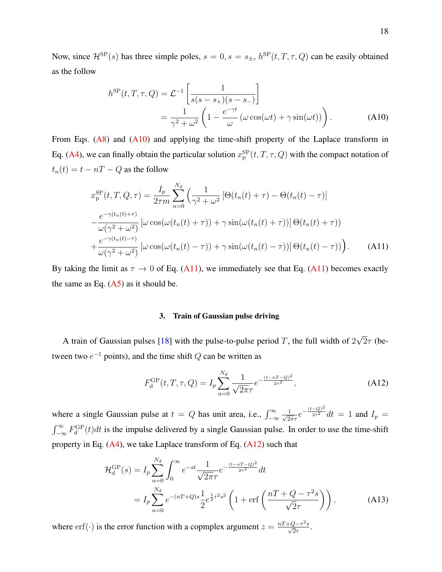Now, since  $\mathcal{H}^{\text{SP}}(s)$  has three simple poles,  $s = 0, s = s_{\pm}, h^{\text{SP}}(t, T, \tau, Q)$  can be easily obtained as the follow

<span id="page-17-1"></span>
$$
h^{\rm SP}(t, T, \tau, Q) = \mathcal{L}^{-1} \left[ \frac{1}{s(s - s_+)(s - s_-)} \right]
$$
  
= 
$$
\frac{1}{\gamma^2 + \omega^2} \left( 1 - \frac{e^{-\gamma t}}{\omega} \left( \omega \cos(\omega t) + \gamma \sin(\omega t) \right) \right).
$$
 (A10)

From Eqs.  $(A8)$  and  $(A10)$  and applying the time-shift property of the Laplace transform in Eq. [\(A4\)](#page-16-1), we can finally obtain the particular solution  $x_{\rm p}^{\rm SP}(t,T,\tau,Q)$  with the compact notation of  $t_n(t) = t - nT - Q$  as the follow

<span id="page-17-0"></span>
$$
x_{\rm p}^{\rm SP}(t, T, Q, \tau) = \frac{I_p}{2\tau m} \sum_{n=0}^{N_d} \left( \frac{1}{\gamma^2 + \omega^2} \left[ \Theta(t_n(t) + \tau) - \Theta(t_n(t) - \tau) \right] - \frac{e^{-\gamma(t_n(t) + \tau)}}{\omega(\gamma^2 + \omega^2)} \left[ \omega \cos(\omega(t_n(t) + \tau)) + \gamma \sin(\omega(t_n(t) + \tau)) \right] \Theta(t_n(t) + \tau) \right)
$$

$$
+ \frac{e^{-\gamma(t_n(t) - \tau)}}{\omega(\gamma^2 + \omega^2)} \left[ \omega \cos(\omega(t_n(t) - \tau)) + \gamma \sin(\omega(t_n(t) - \tau)) \right] \Theta(t_n(t) - \tau) \right). \tag{A11}
$$

By taking the limit as  $\tau \to 0$  of Eq. [\(A11\)](#page-17-0), we immediately see that Eq. (A11) becomes exactly the same as Eq.  $(A5)$  as it should be.

## <span id="page-17-2"></span>3. Train of Gaussian pulse driving

A train of Gaussian pulses  $[18]$  with the pulse-to-pulse period T, the full width of 2 √  $2\tau$  (between two  $e^{-1}$  points), and the time shift Q can be written as

$$
F_{\rm d}^{\rm GP}(t, T, \tau, Q) = I_p \sum_{n=0}^{N_d} \frac{1}{\sqrt{2\pi}\tau} e^{-\frac{(t - nT - Q)^2}{2\tau^2}}, \tag{A12}
$$

where a single Gaussian pulse at  $t = Q$  has unit area, i.e.,  $\int_{-\infty}^{\infty} \frac{1}{\sqrt{2t}}$  $\frac{1}{2\pi\tau}e^{-\frac{(t-Q)^2}{2\tau^2}}dt = 1$  and  $I_p =$  $\int_{-\infty}^{\infty} F_d^{\text{GP}}(t) dt$  is the impulse delivered by a single Gaussian pulse. In order to use the time-shift property in Eq.  $(A4)$ , we take Laplace transform of Eq.  $(A12)$  such that

<span id="page-17-3"></span>
$$
\mathcal{H}_{d}^{GP}(s) = I_{p} \sum_{n=0}^{N_{d}} \int_{0}^{\infty} e^{-st} \frac{1}{\sqrt{2\pi}\tau} e^{-\frac{(t-nT-Q)^{2}}{2\tau^{2}}} dt
$$
  
=  $I_{p} \sum_{n=0}^{N_{d}} e^{-(nT+Q)s} \frac{1}{2} e^{\frac{1}{2}\tau^{2}s^{2}} \left(1 + \text{erf}\left(\frac{nT+Q-\tau^{2}s}{\sqrt{2}\tau}\right)\right),$  (A13)

where erf(·) is the error function with a copmplex argument  $z = \frac{nT + Q - \tau^2 s}{\sqrt{2}\tau}$ .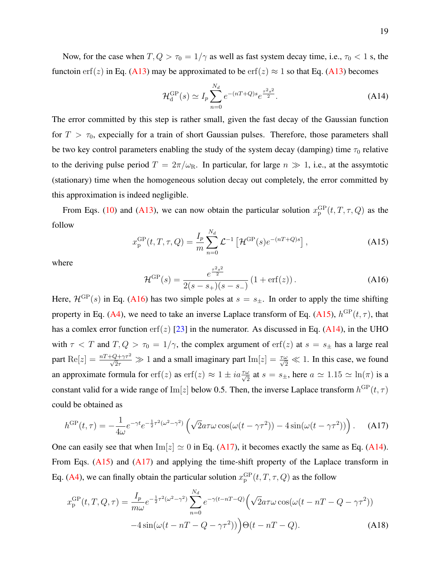Now, for the case when  $T, Q > \tau_0 = 1/\gamma$  as well as fast system decay time, i.e.,  $\tau_0 < 1$  s, the functoin erf(z) in Eq. [\(A13\)](#page-17-3) may be approximated to be erf(z)  $\approx$  1 so that Eq. (A13) becomes

<span id="page-18-1"></span>
$$
\mathcal{H}_{d}^{\rm GP}(s) \simeq I_p \sum_{n=0}^{N_d} e^{-(nT+Q)s} e^{\frac{\tau^2 s^2}{2}}.
$$
 (A14)

The error committed by this step is rather small, given the fast decay of the Gaussian function for  $T > \tau_0$ , expecially for a train of short Gaussian pulses. Therefore, those parameters shall be two key control parameters enabling the study of the system decay (damping) time  $\tau_0$  relative to the deriving pulse period  $T = 2\pi/\omega_R$ . In particular, for large  $n \gg 1$ , i.e., at the assymtotic (stationary) time when the homogeneous solution decay out completely, the error committed by this approximation is indeed negligible.

<span id="page-18-3"></span>From Eqs. [\(10\)](#page-5-1) and [\(A13\)](#page-17-3), we can now obtain the particular solution  $x_{\rm p}^{\rm GP}(t,T,\tau,Q)$  as the follow

$$
x_{\rm p}^{\rm GP}(t,T,\tau,Q) = \frac{I_p}{m} \sum_{n=0}^{N_d} \mathcal{L}^{-1} \left[ \mathcal{H}^{\rm GP}(s) e^{-(nT+Q)s} \right],\tag{A15}
$$

<span id="page-18-2"></span>where

$$
\mathcal{H}^{\rm GP}(s) = \frac{e^{\frac{\tau^2 s^2}{2}}}{2(s - s_+)(s - s_-)} \left(1 + \text{erf}(z)\right). \tag{A16}
$$

Here,  $\mathcal{H}^{GP}(s)$  in Eq. [\(A16\)](#page-18-2) has two simple poles at  $s = s_{\pm}$ . In order to apply the time shifting property in Eq. [\(A4\)](#page-16-1), we need to take an inverse Laplace transform of Eq. [\(A15\)](#page-18-3),  $h^{GP}(t, \tau)$ , that has a comlex error function erf(z) [\[23\]](#page-27-3) in the numerator. As discussed in Eq. [\(A14\)](#page-18-1), in the UHO with  $\tau < T$  and  $T, Q > \tau_0 = 1/\gamma$ , the complex argument of erf(z) at  $s = s_{\pm}$  has a large real part  $\text{Re}[z] = \frac{nT + Q + \gamma \tau^2}{\sqrt{2}\tau} \gg 1$  and a small imaginary part  $\text{Im}[z] = \frac{\tau \omega}{\sqrt{2}} \ll 1$ . In this case, we found an approximate formula for  $erf(z)$  as  $erf(z) \approx 1 \pm i a \frac{\tau \omega}{\sqrt{2}}$  at  $s = s_{\pm}$ , here  $a \simeq 1.15 \simeq \ln(\pi)$  is a constant valid for a wide range of Im[z] below 0.5. Then, the inverse Laplace transform  $h^{GP}(t, \tau)$ could be obtained as

<span id="page-18-4"></span>
$$
h^{\rm GP}(t,\tau) = -\frac{1}{4\omega}e^{-\gamma t}e^{-\frac{1}{2}\tau^2(\omega^2-\gamma^2)}\left(\sqrt{2}a\tau\omega\cos(\omega(t-\gamma\tau^2)) - 4\sin(\omega(t-\gamma\tau^2))\right). \tag{A17}
$$

One can easily see that when  $\text{Im}[z] \simeq 0$  in Eq. [\(A17\)](#page-18-4), it becomes exactly the same as Eq. [\(A14\)](#page-18-1). From Eqs. [\(A15\)](#page-18-3) and [\(A17\)](#page-18-4) and applying the time-shift property of the Laplace transform in Eq. [\(A4\)](#page-16-1), we can finally obtain the particular solution  $x_{\rm p}^{\rm GP}(t, T, \tau, Q)$  as the follow

<span id="page-18-0"></span>
$$
x_{\rm p}^{\rm GP}(t, T, Q, \tau) = \frac{I_p}{m\omega} e^{-\frac{1}{2}\tau^2(\omega^2 - \gamma^2)} \sum_{n=0}^{N_d} e^{-\gamma(t - nT - Q)} \left( \sqrt{2} a\tau \omega \cos(\omega(t - nT - Q - \gamma \tau^2)) - 4\sin(\omega(t - nT - Q - \gamma \tau^2)) \right) \Theta(t - nT - Q). \tag{A18}
$$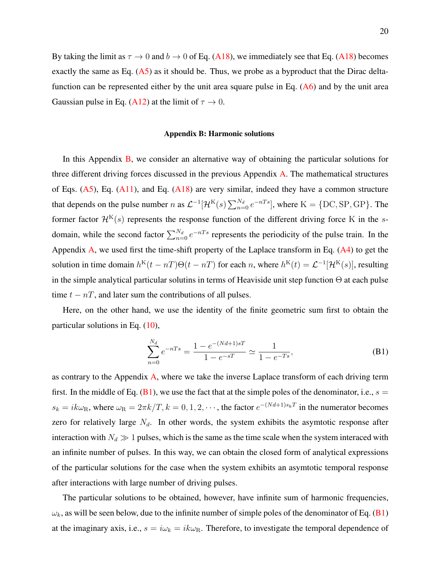By taking the limit as  $\tau \to 0$  and  $b \to 0$  of Eq. [\(A18\)](#page-18-0), we immediately see that Eq. (A18) becomes exactly the same as Eq.  $(A5)$  as it should be. Thus, we probe as a byproduct that the Dirac deltafunction can be represented either by the unit area square pulse in Eq. [\(A6\)](#page-16-2) and by the unit area Gaussian pulse in Eq. [\(A12\)](#page-17-2) at the limit of  $\tau \to 0$ .

#### <span id="page-19-0"></span>Appendix B: Harmonic solutions

In this Appendix [B,](#page-19-0) we consider an alternative way of obtaining the particular solutions for three different driving forces discussed in the previous Appendix [A.](#page-15-0) The mathematical structures of Eqs.  $(A5)$ , Eq.  $(A11)$ , and Eq.  $(A18)$  are very similar, indeed they have a common structure that depends on the pulse number n as  $\mathcal{L}^{-1}[\mathcal{H}^K(s)\sum_{n=0}^{N_d}e^{-nTs}]$ , where  $K = \{\text{DC}, \text{SP}, \text{GP}\}\$ . The former factor  $\mathcal{H}^{\mathrm{K}}(s)$  represents the response function of the different driving force K in the sdomain, while the second factor  $\sum_{n=0}^{N_d} e^{-nTs}$  represents the periodicity of the pulse train. In the Appendix [A,](#page-15-0) we used first the time-shift property of the Laplace transform in Eq. [\(A4\)](#page-16-1) to get the solution in time domain  $h^{K}(t - nT)\Theta(t - nT)$  for each n, where  $h^{K}(t) = \mathcal{L}^{-1}[\mathcal{H}^{K}(s)]$ , resulting in the simple analytical particular solutins in terms of Heaviside unit step function  $\Theta$  at each pulse time  $t - nT$ , and later sum the contributions of all pulses.

Here, on the other hand, we use the identity of the finite geometric sum first to obtain the particular solutions in Eq. [\(10\)](#page-5-1),

<span id="page-19-1"></span>
$$
\sum_{n=0}^{N_d} e^{-nTs} = \frac{1 - e^{-(Nd+1)sT}}{1 - e^{-sT}} \simeq \frac{1}{1 - e^{-Ts}},
$$
\n(B1)

as contrary to the Appendix [A,](#page-15-0) where we take the inverse Laplace transform of each driving term first. In the middle of Eq.  $(B1)$ , we use the fact that at the simple poles of the denominator, i.e.,  $s =$  $s_k = ik\omega_R$ , where  $\omega_R = 2\pi k/T$ ,  $k = 0, 1, 2, \cdots$ , the factor  $e^{-(Nd+1)s_kT}$  in the numerator becomes zero for relatively large  $N_d$ . In other words, the system exhibits the asymtotic response after interaction with  $N_d \gg 1$  pulses, which is the same as the time scale when the system interaced with an infinite number of pulses. In this way, we can obtain the closed form of analytical expressions of the particular solutions for the case when the system exhibits an asymtotic temporal response after interactions with large number of driving pulses.

The particular solutions to be obtained, however, have infinite sum of harmonic frequencies,  $\omega_k$ , as will be seen below, due to the infinite number of simple poles of the denominator of Eq. [\(B1\)](#page-19-1) at the imaginary axis, i.e.,  $s = i\omega_k = ik\omega_R$ . Therefore, to investigate the temporal dependence of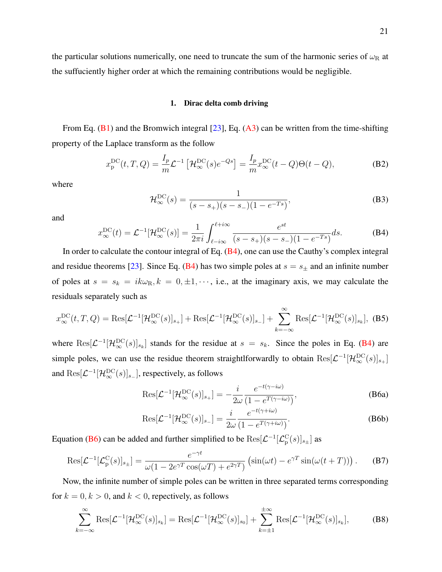the particular solutions numerically, one need to truncate the sum of the harmonic series of  $\omega_R$  at the suffuciently higher order at which the remaining contributions would be negligible.

## <span id="page-20-3"></span>1. Dirac delta comb driving

From Eq.  $(B1)$  and the Bromwich integral  $[23]$ , Eq.  $(A3)$  can be written from the time-shifting property of the Laplace transform as the follow

$$
x_{\mathbf{p}}^{\mathbf{DC}}(t,T,Q) = \frac{I_p}{m} \mathcal{L}^{-1} \left[ \mathcal{H}_{\infty}^{\mathbf{DC}}(s) e^{-Qs} \right] = \frac{I_p}{m} x_{\infty}^{\mathbf{DC}}(t-Q) \Theta(t-Q), \tag{B2}
$$

where

$$
\mathcal{H}_{\infty}^{\text{DC}}(s) = \frac{1}{(s - s_{+})(s - s_{-})(1 - e^{-Ts})},
$$
(B3)

<span id="page-20-0"></span>and

$$
x_{\infty}^{\rm DC}(t) = \mathcal{L}^{-1}[\mathcal{H}_{\infty}^{\rm DC}(s)] = \frac{1}{2\pi i} \int_{\ell - i\infty}^{\ell + i\infty} \frac{e^{st}}{(s - s_+)(s - s_-)(1 - e^{-Ts})} ds.
$$
 (B4)

In order to calculate the contour integral of Eq.  $(B4)$ , one can use the Cauthy's complex integral and residue theorems [\[23\]](#page-27-3). Since Eq. [\(B4\)](#page-20-0) has two simple poles at  $s = s_{\pm}$  and an infinite number of poles at  $s = s_k = ik\omega_R$ ,  $k = 0, \pm 1, \cdots$ , i.e., at the imaginary axis, we may calculate the residuals separately such as

$$
x_{\infty}^{\text{DC}}(t,T,Q) = \text{Res}[\mathcal{L}^{-1}[\mathcal{H}_{\infty}^{\text{DC}}(s)]_{s+}] + \text{Res}[\mathcal{L}^{-1}[\mathcal{H}_{\infty}^{\text{DC}}(s)]_{s-}] + \sum_{k=-\infty}^{\infty} \text{Res}[\mathcal{L}^{-1}[\mathcal{H}_{\infty}^{\text{DC}}(s)]_{s_k}],
$$
(B5)

where  $\text{Res}[\mathcal{L}^{-1}[\mathcal{H}_\infty^{\text{DC}}(s)]_{s_k}]$  stands for the residue at  $s = s_k$ . Since the poles in Eq. [\(B4\)](#page-20-0) are simple poles, we can use the residue theorem straightlforwardly to obtain  $\text{Res}[\mathcal{L}^{-1}[\mathcal{H}^{\text{DC}}_{\infty}(s)]_{s_+}]$ and  $\text{Res}[\mathcal{L}^{-1}[\mathcal{H}^{\text{DC}}_{\infty}(s)]_{s_-}]$ , respectively, as follows

<span id="page-20-1"></span>
$$
\text{Res}[\mathcal{L}^{-1}[\mathcal{H}_{\infty}^{\text{DC}}(s)]_{s+}] = -\frac{i}{2\omega} \frac{e^{-t(\gamma - i\omega)}}{(1 - e^{T(\gamma - i\omega)})},\tag{B6a}
$$

<span id="page-20-2"></span>
$$
\text{Res}[\mathcal{L}^{-1}[\mathcal{H}_{\infty}^{\text{DC}}(s)]_{s-}] = \frac{i}{2\omega} \frac{e^{-t(\gamma + i\omega)}}{(1 - e^{T(\gamma + i\omega)})}.
$$
 (B6b)

Equation [\(B6\)](#page-20-1) can be added and further simplified to be  $\text{Res}[\mathcal{L}^{-1}[\mathcal{L}_p^C(s)]_{s_{\pm}}]$  as

$$
\text{Res}[\mathcal{L}^{-1}[\mathcal{L}_p^C(s)]_{s_{\pm}}] = \frac{e^{-\gamma t}}{\omega(1 - 2e^{\gamma T}\cos(\omega T) + e^{2\gamma T})} \left(\sin(\omega t) - e^{\gamma T}\sin(\omega(t+T))\right). \tag{B7}
$$

Now, the infinite number of simple poles can be written in three separated terms corresponding for  $k = 0, k > 0$ , and  $k < 0$ , repectively, as follows

$$
\sum_{k=-\infty}^{\infty} \text{Res}[\mathcal{L}^{-1}[\mathcal{H}_{\infty}^{\text{DC}}(s)]_{s_k}] = \text{Res}[\mathcal{L}^{-1}[\mathcal{H}_{\infty}^{\text{DC}}(s)]_{s_0}] + \sum_{k=\pm 1}^{\pm \infty} \text{Res}[\mathcal{L}^{-1}[\mathcal{H}_{\infty}^{\text{DC}}(s)]_{s_k}],
$$
(B8)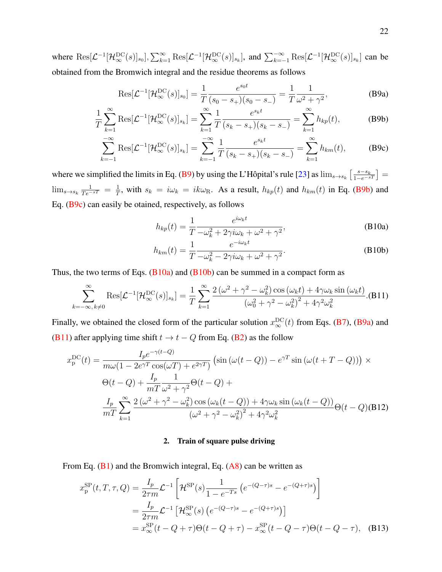where  $\text{Res}[\mathcal{L}^{-1}[\mathcal{H}^{DC}_{\infty}(s)]_{s_0}], \sum_{k=1}^{\infty} \text{Res}[\mathcal{L}^{-1}[\mathcal{H}^{DC}_{\infty}(s)]_{s_k}]$ , and  $\sum_{k=-1}^{\infty} \text{Res}[\mathcal{L}^{-1}[\mathcal{H}^{DC}_{\infty}(s)]_{s_k}]$  can be obtained from the Bromwich integral and the residue theorems as follows

<span id="page-21-1"></span>
$$
\text{Res}[\mathcal{L}^{-1}[\mathcal{H}_{\infty}^{\text{DC}}(s)]_{s_0}] = \frac{1}{T} \frac{e^{s_0 t}}{(s_0 - s_+)(s_0 - s_-)} = \frac{1}{T} \frac{1}{\omega^2 + \gamma^2},\tag{B9a}
$$

$$
\frac{1}{T} \sum_{k=1}^{\infty} \text{Res}[\mathcal{L}^{-1}[\mathcal{H}_{\infty}^{\text{DC}}(s)]_{s_k}] = \sum_{k=1}^{\infty} \frac{1}{T} \frac{e^{s_k t}}{(s_k - s_+)(s_k - s_-)} = \sum_{k=1}^{\infty} h_{kp}(t),
$$
(B9b)

$$
\sum_{k=-1}^{-\infty} \text{Res}[\mathcal{L}^{-1}[\mathcal{H}_{\infty}^{\text{DC}}(s)]_{s_k}] = \sum_{k=-1}^{-\infty} \frac{1}{T} \frac{e^{s_k t}}{(s_k - s_+)(s_k - s_-)} = \sum_{k=1}^{\infty} h_{km}(t),
$$
 (B9c)

where we simplified the limits in Eq. [\(B9\)](#page-21-1) by using the L'Hôpital's rule [[23\]](#page-27-3) as  $\lim_{s\to s_k} \left[\frac{s-s_k}{1-e^{-sT}}\right]$  $\lim_{s\to s_k}\frac{1}{Te^{-sT}}=\frac{1}{T}$  $\frac{1}{T}$ , with  $s_k = i\omega_k = ik\omega_R$ . As a result,  $h_{kp}(t)$  and  $h_{km}(t)$  in Eq. [\(B9b\)](#page-19-1) and Eq. [\(B9c\)](#page-19-1) can easily be otained, respectively, as follows

$$
h_{kp}(t) = \frac{1}{T} \frac{e^{i\omega_k t}}{-\omega_k^2 + 2\gamma i\omega_k + \omega^2 + \gamma^2},
$$
 (B10a)

$$
h_{km}(t) = \frac{1}{T} \frac{e^{-i\omega_k t}}{-\omega_k^2 - 2\gamma i\omega_k + \omega^2 + \gamma^2}.
$$
 (B10b)

Thus, the two terms of Eqs.  $(B10a)$  and  $(B10b)$  can be summed in a compact form as

<span id="page-21-2"></span>
$$
\sum_{k=-\infty, k\neq 0}^{\infty} \text{Res}[\mathcal{L}^{-1}[\mathcal{H}_{\infty}^{\text{DC}}(s)]_{s_k}] = \frac{1}{T} \sum_{k=1}^{\infty} \frac{2(\omega^2 + \gamma^2 - \omega_k^2) \cos(\omega_k t) + 4\gamma \omega_k \sin(\omega_k t)}{(\omega_0^2 + \gamma^2 - \omega_k^2)^2 + 4\gamma^2 \omega_k^2}.
$$
(B11)

Finally, we obtained the closed form of the particular solution  $x_{\infty}^{\text{DC}}(t)$  from Eqs. [\(B7\)](#page-20-2), [\(B9a\)](#page-19-1) and [\(B11\)](#page-21-2) after applying time shift  $t \to t - Q$  from Eq. [\(B2\)](#page-20-3) as the follow

<span id="page-21-0"></span>
$$
x_p^{DC}(t) = \frac{I_p e^{-\gamma(t-Q)}}{m\omega(1 - 2e^{\gamma T}\cos(\omega T) + e^{2\gamma T})} \left(\sin(\omega(t-Q)) - e^{\gamma T}\sin(\omega(t+T-Q))\right) \times
$$
  

$$
\Theta(t-Q) + \frac{I_p}{mT} \frac{1}{\omega^2 + \gamma^2} \Theta(t-Q) +
$$
  

$$
\frac{I_p}{mT} \sum_{k=1}^{\infty} \frac{2(\omega^2 + \gamma^2 - \omega_k^2)\cos(\omega_k(t-Q)) + 4\gamma\omega_k\sin(\omega_k(t-Q))}{(\omega^2 + \gamma^2 - \omega_k^2)^2 + 4\gamma^2\omega_k^2} \Theta(t-Q)
$$
(B12)

## 2. Train of square pulse driving

From Eq.  $(B1)$  and the Bromwich integral, Eq.  $(A8)$  can be written as

<span id="page-21-3"></span>
$$
x_{\rm p}^{\rm SP}(t, T, \tau, Q) = \frac{I_p}{2\tau m} \mathcal{L}^{-1} \left[ \mathcal{H}^{\rm SP}(s) \frac{1}{1 - e^{-Ts}} \left( e^{-(Q-\tau)s} - e^{-(Q+\tau)s} \right) \right]
$$
  
= 
$$
\frac{I_p}{2\tau m} \mathcal{L}^{-1} \left[ \mathcal{H}^{\rm SP}_{\infty}(s) \left( e^{-(Q-\tau)s} - e^{-(Q+\tau)s} \right) \right]
$$
  
= 
$$
x_{\infty}^{\rm SP}(t - Q + \tau) \Theta(t - Q + \tau) - x_{\infty}^{\rm SP}(t - Q - \tau) \Theta(t - Q - \tau), \quad (B13)
$$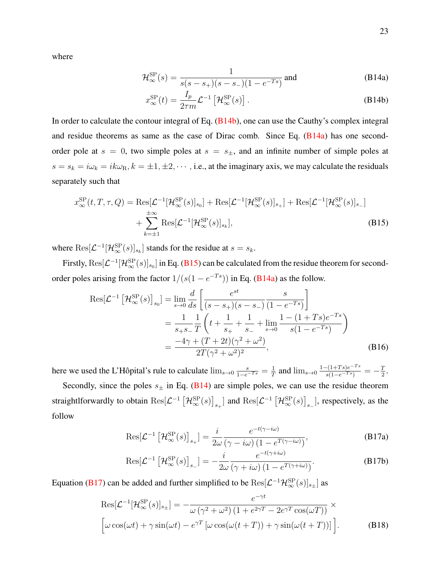<span id="page-22-1"></span>where

$$
\mathcal{H}_{\infty}^{\rm SP}(s) = \frac{1}{s(s - s_+)(s - s_-)(1 - e^{-Ts})} \text{ and}
$$
 (B14a)

$$
x_{\infty}^{\rm SP}(t) = \frac{I_p}{2\tau m} \mathcal{L}^{-1} \left[ \mathcal{H}_{\infty}^{\rm SP}(s) \right]. \tag{B14b}
$$

In order to calculate the contour integral of Eq. [\(B14b\)](#page-19-1), one can use the Cauthy's complex integral and residue theorems as same as the case of Dirac comb. Since Eq.  $(B14a)$  has one secondorder pole at  $s = 0$ , two simple poles at  $s = s_{\pm}$ , and an infinite number of simple poles at  $s = s_k = i\omega_k = ik\omega_{\rm R}$ ,  $k = \pm 1, \pm 2, \cdots$ , i.e., at the imaginary axis, we may calculate the residuals separately such that

<span id="page-22-0"></span>
$$
x_{\infty}^{\rm SP}(t, T, \tau, Q) = \text{Res}[\mathcal{L}^{-1}[\mathcal{H}_{\infty}^{\rm SP}(s)]_{s_0}] + \text{Res}[\mathcal{L}^{-1}[\mathcal{H}_{\infty}^{\rm SP}(s)]_{s_+}] + \text{Res}[\mathcal{L}^{-1}[\mathcal{H}_{\infty}^{\rm SP}(s)]_{s_-}] + \sum_{k=\pm 1}^{\pm \infty} \text{Res}[\mathcal{L}^{-1}[\mathcal{H}_{\infty}^{\rm SP}(s)]_{s_k}],
$$
\n(B15)

where  $\text{Res}[\mathcal{L}^{-1}[\mathcal{H}^{\text{SP}}_{\infty}(s)]_{s_k}]$  stands for the residue at  $s = s_k$ .

Firstly,  $\text{Res}[\mathcal{L}^{-1}[\mathcal{H}^{\text{SP}}_{\infty}(s)]_{s_0}]$  in Eq. [\(B15\)](#page-22-0) can be calculated from the residue theorem for secondorder poles arising from the factor  $1/(s(1 - e^{-Ts}))$  in Eq. [\(B14a\)](#page-19-1) as the follow.

<span id="page-22-3"></span>
$$
\operatorname{Res}[\mathcal{L}^{-1} \left[ \mathcal{H}_{\infty}^{\mathrm{SP}}(s) \right]_{s_0}] = \lim_{s \to 0} \frac{d}{ds} \left[ \frac{e^{st}}{(s - s_+)(s - s_-)} \frac{s}{(1 - e^{-Ts})} \right]
$$
  
= 
$$
\frac{1}{s_+ s_-} \frac{1}{T} \left( t + \frac{1}{s_+} + \frac{1}{s_-} + \lim_{s \to 0} \frac{1 - (1 + Ts)e^{-Ts}}{s(1 - e^{-Ts})} \right)
$$
  
= 
$$
\frac{-4\gamma + (T + 2t)(\gamma^2 + \omega^2)}{2T(\gamma^2 + \omega^2)^2},
$$
(B16)

here we used the L'Hôpital's rule to calculate  $\lim_{s\to 0} \frac{s}{1-e^{-Ts}} = \frac{1}{T}$  $\frac{1}{T}$  and  $\lim_{s\to 0} \frac{1-(1+Ts)e^{-Ts}}{s(1-e^{-Ts})} = -\frac{T}{2}$  $\frac{T}{2}$ . Secondly, since the poles  $s_{\pm}$  in Eq. [\(B14\)](#page-22-1) are simple poles, we can use the residue theorem

<span id="page-22-2"></span>straightlforwardly to obtain  $\text{Res}[\mathcal{L}^{-1} [\mathcal{H}^{\text{SP}}_{\infty}(s)]_{s_+}]$  and  $\text{Res}[\mathcal{L}^{-1} [\mathcal{H}^{\text{SP}}_{\infty}(s)]_{s_-}]$ , respectively, as the follow

$$
\text{Res}[\mathcal{L}^{-1} \left[ \mathcal{H}_{\infty}^{\text{SP}}(s) \right]_{s_{+}}] = \frac{i}{2\omega} \frac{e^{-t(\gamma - i\omega)}}{(\gamma - i\omega) \left( 1 - e^{T(\gamma - i\omega)} \right)},
$$
(B17a)

$$
\operatorname{Res}[\mathcal{L}^{-1} \left[ \mathcal{H}_{\infty}^{\mathrm{SP}}(s) \right]_{s_{-}}] = -\frac{i}{2\omega} \frac{e^{-t(\gamma + i\omega)}}{(\gamma + i\omega) \left( 1 - e^{T(\gamma + i\omega)} \right)}.
$$
(B17b)

Equation [\(B17\)](#page-22-2) can be added and further simplified to be  $\text{Res}[\mathcal{L}^{-1}\mathcal{H}^{\text{SP}}_{\infty}(s)]_{s_{\pm}}]$  as

<span id="page-22-4"></span>
$$
\operatorname{Res}[\mathcal{L}^{-1}[\mathcal{H}^{\mathrm{SP}}_{\infty}(s)]_{s\pm}] = -\frac{e^{-\gamma t}}{\omega(\gamma^2 + \omega^2)(1 + e^{2\gamma T} - 2e^{\gamma T}\cos(\omega T))} \times \left[\omega\cos(\omega t) + \gamma\sin(\omega t) - e^{\gamma T}[\omega\cos(\omega(t+T)) + \gamma\sin(\omega(t+T))] \right].
$$
\n(B18)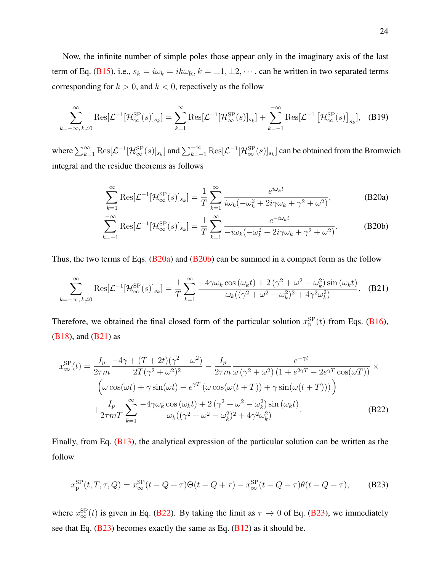Now, the infinite number of simple poles those appear only in the imaginary axis of the last term of Eq. [\(B15\)](#page-22-0), i.e.,  $s_k = i\omega_k = ik\omega_{\text{R}}$ ,  $k = \pm 1, \pm 2, \cdots$ , can be written in two separated terms corresponding for  $k > 0$ , and  $k < 0$ , repectively as the follow

$$
\sum_{k=-\infty, k\neq 0}^{\infty} \text{Res}[\mathcal{L}^{-1}[\mathcal{H}^{\text{SP}}_{\infty}(s)]_{s_k}] = \sum_{k=1}^{\infty} \text{Res}[\mathcal{L}^{-1}[\mathcal{H}^{\text{SP}}_{\infty}(s)]_{s_k}] + \sum_{k=-1}^{-\infty} \text{Res}[\mathcal{L}^{-1}[\mathcal{H}^{\text{SP}}_{\infty}(s)]_{s_k}], \quad \text{(B19)}
$$

where  $\sum_{k=1}^{\infty} \text{Res}[\mathcal{L}^{-1}[\mathcal{H}^{\text{SP}}_{\infty}(s)]_{s_k}]$  and  $\sum_{k=-1}^{-\infty} \text{Res}[\mathcal{L}^{-1}[\mathcal{H}^{\text{SP}}_{\infty}(s)]_{s_k}]$  can be obtained from the Bromwich integral and the residue theorems as follows

$$
\sum_{k=1}^{\infty} \text{Res}[\mathcal{L}^{-1}[\mathcal{H}^{\text{SP}}_{\infty}(s)]_{s_k}] = \frac{1}{T} \sum_{k=1}^{\infty} \frac{e^{i\omega_k t}}{i\omega_k(-\omega_k^2 + 2i\gamma\omega_k + \gamma^2 + \omega^2)},
$$
(B20a)

<span id="page-23-1"></span>
$$
\sum_{k=-1}^{-\infty} \text{Res}[\mathcal{L}^{-1}[\mathcal{H}^{\text{SP}}_{\infty}(s)]_{s_k}] = \frac{1}{T} \sum_{k=1}^{\infty} \frac{e^{-i\omega_k t}}{-i\omega_k(-\omega_k^2 - 2i\gamma\omega_k + \gamma^2 + \omega^2)}.
$$
 (B20b)

Thus, the two terms of Eqs.  $(B20a)$  and  $(B20b)$  can be summed in a compact form as the follow

$$
\sum_{k=-\infty, k\neq 0}^{\infty} \text{Res}[\mathcal{L}^{-1}[\mathcal{H}_{\infty}^{\text{SP}}(s)]_{s_k}] = \frac{1}{T} \sum_{k=1}^{\infty} \frac{-4\gamma\omega_k \cos(\omega_k t) + 2(\gamma^2 + \omega^2 - \omega_k^2) \sin(\omega_k t)}{\omega_k((\gamma^2 + \omega^2 - \omega_k^2)^2 + 4\gamma^2 \omega_k^2)}.
$$
 (B21)

Therefore, we obtained the final closed form of the particular solution  $x_{\rm p}^{\rm SP}(t)$  from Eqs. [\(B16\)](#page-22-3), [\(B18\)](#page-22-4), and [\(B21\)](#page-23-1) as

<span id="page-23-2"></span>
$$
x_{\infty}^{\rm SP}(t) = \frac{I_p}{2\tau m} \frac{-4\gamma + (T + 2t)(\gamma^2 + \omega^2)}{2T(\gamma^2 + \omega^2)^2} - \frac{I_p}{2\tau m} \frac{e^{-\gamma t}}{\omega(\gamma^2 + \omega^2) (1 + e^{2\gamma T} - 2e^{\gamma T} \cos(\omega T))} \times
$$
  

$$
\left(\omega \cos(\omega t) + \gamma \sin(\omega t) - e^{\gamma T} (\omega \cos(\omega (t + T)) + \gamma \sin(\omega (t + T)))\right)
$$

$$
+ \frac{I_p}{2\tau m T} \sum_{k=1}^{\infty} \frac{-4\gamma \omega_k \cos(\omega_k t) + 2(\gamma^2 + \omega^2 - \omega_k^2) \sin(\omega_k t)}{\omega_k ((\gamma^2 + \omega^2 - \omega_k^2)^2 + 4\gamma^2 \omega_k^2)}.
$$
(B22)

<span id="page-23-0"></span>Finally, from Eq. [\(B13\)](#page-21-3), the analytical expression of the particular solution can be written as the follow

$$
x_{\rm p}^{\rm SP}(t, T, \tau, Q) = x_{\infty}^{\rm SP}(t - Q + \tau)\Theta(t - Q + \tau) - x_{\infty}^{\rm SP}(t - Q - \tau)\theta(t - Q - \tau),
$$
 (B23)

where  $x_{\infty}^{\text{SP}}(t)$  is given in Eq. [\(B22\)](#page-23-2). By taking the limit as  $\tau \to 0$  of Eq. [\(B23\)](#page-23-0), we immediately see that Eq.  $(B23)$  becomes exactly the same as Eq.  $(B12)$  as it should be.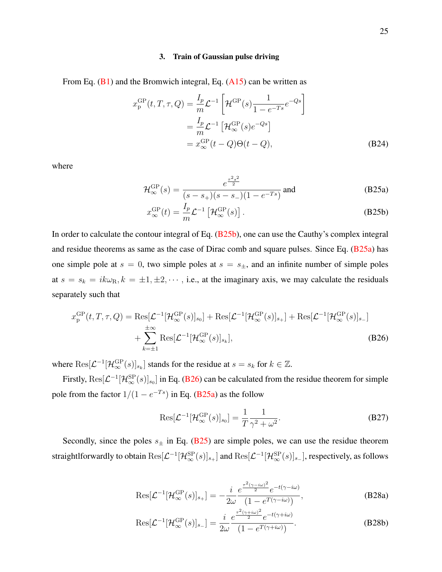#### 3. Train of Gaussian pulse driving

From Eq.  $(B1)$  and the Bromwich integral, Eq.  $(A15)$  can be written as

<span id="page-24-4"></span>
$$
x_{\rm p}^{\rm GP}(t, T, \tau, Q) = \frac{I_p}{m} \mathcal{L}^{-1} \left[ \mathcal{H}^{\rm GP}(s) \frac{1}{1 - e^{-Ts}} e^{-Qs} \right]
$$
  

$$
= \frac{I_p}{m} \mathcal{L}^{-1} \left[ \mathcal{H}^{\rm GP}_{\infty}(s) e^{-Qs} \right]
$$
  

$$
= x_{\infty}^{\rm GP}(t - Q) \Theta(t - Q),
$$
 (B24)

<span id="page-24-1"></span>where

$$
\mathcal{H}_{\infty}^{\rm GP}(s) = \frac{e^{\frac{\tau^2 s^2}{2}}}{(s - s_+)(s - s_-)(1 - e^{-Ts})} \text{ and}
$$
 (B25a)

$$
x_{\infty}^{\rm GP}(t) = \frac{I_p}{m} \mathcal{L}^{-1} \left[ \mathcal{H}_{\infty}^{\rm GP}(s) \right].
$$
 (B25b)

In order to calculate the contour integral of Eq. [\(B25b\)](#page-19-1), one can use the Cauthy's complex integral and residue theorems as same as the case of Dirac comb and square pulses. Since Eq. [\(B25a\)](#page-19-1) has one simple pole at  $s = 0$ , two simple poles at  $s = s_{\pm}$ , and an infinite number of simple poles at  $s = s_k = ik\omega_R$ ,  $k = \pm 1, \pm 2, \cdots$ , i.e., at the imaginary axis, we may calculate the residuals separately such that

<span id="page-24-0"></span>
$$
x_{\mathrm{p}}^{\mathrm{GP}}(t, T, \tau, Q) = \mathrm{Res}[\mathcal{L}^{-1}[\mathcal{H}_{\infty}^{\mathrm{GP}}(s)]_{s_{0}}] + \mathrm{Res}[\mathcal{L}^{-1}[\mathcal{H}_{\infty}^{\mathrm{GP}}(s)]_{s_{+}}] + \mathrm{Res}[\mathcal{L}^{-1}[\mathcal{H}_{\infty}^{\mathrm{GP}}(s)]_{s_{-}}] + \sum_{k=\pm 1}^{\pm \infty} \mathrm{Res}[\mathcal{L}^{-1}[\mathcal{H}_{\infty}^{\mathrm{GP}}(s)]_{s_{k}}],
$$
\n(B26)

where  $\text{Res}[\mathcal{L}^{-1}[\mathcal{H}^{\text{GP}}_{\infty}(s)]_{s_k}]$  stands for the residue at  $s = s_k$  for  $k \in \mathbb{Z}$ .

Firstly,  $\text{Res}[\mathcal{L}^{-1}[\mathcal{H}^{\text{SP}}_{\infty}(s)]_{s_0}]$  in Eq. [\(B26\)](#page-24-0) can be calculated from the residue theorem for simple pole from the factor  $1/(1 - e^{-Ts})$  in Eq. [\(B25a\)](#page-19-1) as the follow

<span id="page-24-3"></span>
$$
\text{Res}[\mathcal{L}^{-1}[\mathcal{H}^{\text{GP}}_{\infty}(s)]_{s_0}] = \frac{1}{T} \frac{1}{\gamma^2 + \omega^2}.
$$
 (B27)

<span id="page-24-2"></span>Secondly, since the poles  $s_{\pm}$  in Eq. [\(B25\)](#page-24-1) are simple poles, we can use the residue theorem straightlforwardly to obtain  $\text{Res}[\mathcal{L}^{-1}[\mathcal{H}^{\text{SP}}_{\infty}(s)]_{s_+}]$  and  $\text{Res}[\mathcal{L}^{-1}[\mathcal{H}^{\text{SP}}_{\infty}(s)]_{s_-}]$ , respectively, as follows

$$
Res[\mathcal{L}^{-1}[\mathcal{H}_{\infty}^{GP}(s)]_{s+}] = -\frac{i}{2\omega} \frac{e^{\frac{\tau^2(\gamma - i\omega)^2}{2}} e^{-t(\gamma - i\omega)}}{(1 - e^{T(\gamma - i\omega)})},
$$
(B28a)

$$
\text{Res}[\mathcal{L}^{-1}[\mathcal{H}_{\infty}^{\text{GP}}(s)]_{s-}] = \frac{i}{2\omega} \frac{e^{\frac{\tau^2(\gamma+i\omega)^2}{2}} e^{-t(\gamma+i\omega)}}{(1 - e^{T(\gamma+i\omega)})}.
$$
(B28b)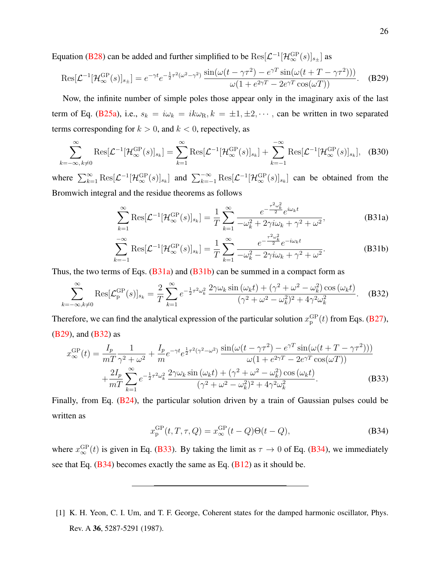Equation [\(B28\)](#page-24-2) can be added and further simplified to be  $\text{Res}[\mathcal{L}^{-1}[\mathcal{H}^{\text{GP}}_{\infty}(s)]_{s_{\pm}}]$  as

$$
Res[\mathcal{L}^{-1}[\mathcal{H}_{\infty}^{\text{GP}}(s)]_{s_{\pm}}] = e^{-\gamma t} e^{-\frac{1}{2}\tau^2(\omega^2 - \gamma^2)} \frac{\sin(\omega(t - \gamma\tau^2) - e^{\gamma T}\sin(\omega(t + T - \gamma\tau^2)))}{\omega(1 + e^{2\gamma T} - 2e^{\gamma T}\cos(\omega T))}.
$$
 (B29)

Now, the infinite number of simple poles those appear only in the imaginary axis of the last term of Eq. [\(B25a\)](#page-19-1), i.e.,  $s_k = i\omega_k = ik\omega_{\text{R}}$ ,  $k = \pm 1, \pm 2, \cdots$ , can be written in two separated terms corresponding for  $k > 0$ , and  $k < 0$ , repectively, as

$$
\sum_{k=-\infty, k\neq 0}^{\infty} \text{Res}[\mathcal{L}^{-1}[\mathcal{H}_{\infty}^{\text{GP}}(s)]_{s_k}] = \sum_{k=1}^{\infty} \text{Res}[\mathcal{L}^{-1}[\mathcal{H}_{\infty}^{\text{GP}}(s)]_{s_k}] + \sum_{k=-1}^{-\infty} \text{Res}[\mathcal{L}^{-1}[\mathcal{H}_{\infty}^{\text{GP}}(s)]_{s_k}], \quad \text{(B30)}
$$

where  $\sum_{k=1}^{\infty} \text{Res}[\mathcal{L}^{-1}[\mathcal{H}^{\text{GP}}_{\infty}(s)]_{s_k}]$  and  $\sum_{k=-1}^{-\infty} \text{Res}[\mathcal{L}^{-1}[\mathcal{H}^{\text{GP}}_{\infty}(s)]_{s_k}]$  can be obtained from the Bromwich integral and the residue theorems as follows

<span id="page-25-2"></span>
$$
\sum_{k=1}^{\infty} \text{Res}[\mathcal{L}^{-1}[\mathcal{H}_{\infty}^{\text{GP}}(s)]_{s_k}] = \frac{1}{T} \sum_{k=1}^{\infty} \frac{e^{-\frac{\tau^2 \omega_k^2}{2}} e^{i\omega_k t}}{-\omega_k^2 + 2\gamma i\omega_k + \gamma^2 + \omega^2},
$$
(B31a)

<span id="page-25-3"></span>
$$
\sum_{k=-1}^{-\infty} \text{Res}[\mathcal{L}^{-1}[\mathcal{H}_{\infty}^{\text{GP}}(s)]_{s_k}] = \frac{1}{T} \sum_{k=1}^{\infty} \frac{e^{-\frac{\tau^2 \omega_k^2}{2}} e^{-i\omega_k t}}{-\omega_k^2 - 2\gamma i\omega_k + \gamma^2 + \omega^2}.
$$
 (B31b)

Thus, the two terms of Eqs.  $(B31a)$  and  $(B31b)$  can be summed in a compact form as

$$
\sum_{k=-\infty,k\neq 0}^{\infty} \text{Res}[\mathcal{L}_{\mathbf{p}}^{\text{GP}}(s)]_{s_k} = \frac{2}{T} \sum_{k=1}^{\infty} e^{-\frac{1}{2}\tau^2 \omega_k^2} \frac{2\gamma \omega_k \sin(\omega_k t) + (\gamma^2 + \omega^2 - \omega_k^2) \cos(\omega_k t)}{(\gamma^2 + \omega^2 - \omega_k^2)^2 + 4\gamma^2 \omega_k^2}.
$$
 (B32)

Therefore, we can find the analytical expression of the particular solution  $x_{\rm p}^{\rm GP}(t)$  from Eqs. [\(B27\)](#page-24-3), [\(B29\)](#page-25-2), and [\(B32\)](#page-25-3) as

<span id="page-25-4"></span>
$$
x_{\infty}^{\text{GP}}(t) = \frac{I_p}{mT} \frac{1}{\gamma^2 + \omega^2} + \frac{I_p}{m} e^{-\gamma t} e^{\frac{1}{2}\tau^2(\gamma^2 - \omega^2)} \frac{\sin(\omega(t - \gamma\tau^2) - e^{\gamma T} \sin(\omega(t + T - \gamma\tau^2)))}{\omega(1 + e^{2\gamma T} - 2e^{\gamma T} \cos(\omega T))} + \frac{2I_p}{mT} \sum_{k=1}^{\infty} e^{-\frac{1}{2}\tau^2 \omega_k^2} \frac{2\gamma\omega_k \sin(\omega_k t) + (\gamma^2 + \omega^2 - \omega_k^2) \cos(\omega_k t)}{(\gamma^2 + \omega^2 - \omega_k^2)^2 + 4\gamma^2 \omega_k^2}.
$$
 (B33)

<span id="page-25-1"></span>Finally, from Eq. [\(B24\)](#page-24-4), the particular solution driven by a train of Gaussian pulses could be written as

$$
x_{\mathbf{p}}^{\mathrm{GP}}(t, T, \tau, Q) = x_{\infty}^{\mathrm{GP}}(t - Q)\Theta(t - Q),
$$
 (B34)

where  $x_{\infty}^{\text{GP}}(t)$  is given in Eq. [\(B33\)](#page-25-4). By taking the limit as  $\tau \to 0$  of Eq. [\(B34\)](#page-25-1), we immediately see that Eq.  $(B34)$  becomes exactly the same as Eq.  $(B12)$  as it should be.

<span id="page-25-0"></span>[1] K. H. Yeon, C. I. Um, and T. F. George, Coherent states for the damped harmonic oscillator, Phys. Rev. A 36, 5287-5291 (1987).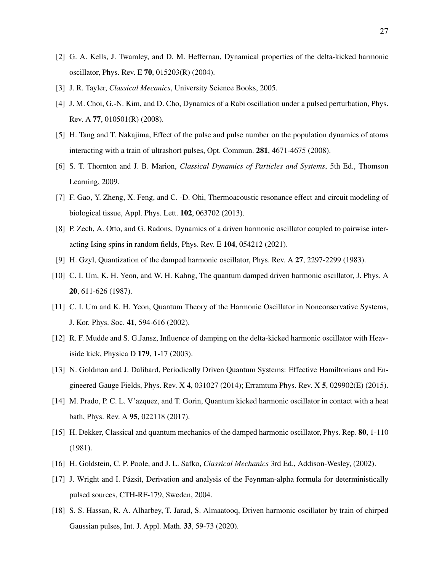- <span id="page-26-4"></span>[2] G. A. Kells, J. Twamley, and D. M. Heffernan, Dynamical properties of the delta-kicked harmonic oscillator, Phys. Rev. E 70, 015203(R) (2004).
- <span id="page-26-5"></span>[3] J. R. Tayler, *Classical Mecanics*, University Science Books, 2005.
- [4] J. M. Choi, G.-N. Kim, and D. Cho, Dynamics of a Rabi oscillation under a pulsed perturbation, Phys. Rev. A 77, 010501(R) (2008).
- [5] H. Tang and T. Nakajima, Effect of the pulse and pulse number on the population dynamics of atoms interacting with a train of ultrashort pulses, Opt. Commun. 281, 4671-4675 (2008).
- <span id="page-26-7"></span>[6] S. T. Thornton and J. B. Marion, *Classical Dynamics of Particles and Systems*, 5th Ed., Thomson Learning, 2009.
- <span id="page-26-9"></span>[7] F. Gao, Y. Zheng, X. Feng, and C. -D. Ohi, Thermoacoustic resonance effect and circuit modeling of biological tissue, Appl. Phys. Lett. 102, 063702 (2013).
- <span id="page-26-0"></span>[8] P. Zech, A. Otto, and G. Radons, Dynamics of a driven harmonic oscillator coupled to pairwise interacting Ising spins in random fields, Phys. Rev. E 104, 054212 (2021).
- <span id="page-26-1"></span>[9] H. Gzyl, Quantization of the damped harmonic oscillator, Phys. Rev. A 27, 2297-2299 (1983).
- [10] C. I. Um, K. H. Yeon, and W. H. Kahng, The quantum damped driven harmonic oscillator, J. Phys. A 20, 611-626 (1987).
- [11] C. I. Um and K. H. Yeon, Quantum Theory of the Harmonic Oscillator in Nonconservative Systems, J. Kor. Phys. Soc. 41, 594-616 (2002).
- <span id="page-26-6"></span>[12] R. F. Mudde and S. G.Jansz, Influence of damping on the delta-kicked harmonic oscillator with Heaviside kick, Physica D 179, 1-17 (2003).
- [13] N. Goldman and J. Dalibard, Periodically Driven Quantum Systems: Effective Hamiltonians and Engineered Gauge Fields, Phys. Rev. X 4, 031027 (2014); Erramtum Phys. Rev. X 5, 029902(E) (2015).
- <span id="page-26-2"></span>[14] M. Prado, P. C. L. V'azquez, and T. Gorin, Quantum kicked harmonic oscillator in contact with a heat bath, Phys. Rev. A 95, 022118 (2017).
- <span id="page-26-3"></span>[15] H. Dekker, Classical and quantum mechanics of the damped harmonic oscillator, Phys. Rep. 80, 1-110 (1981).
- <span id="page-26-10"></span><span id="page-26-8"></span>[16] H. Goldstein, C. P. Poole, and J. L. Safko, *Classical Mechanics* 3rd Ed., Addison-Wesley, (2002).
- [17] J. Wright and I. Pázsit, Derivation and analysis of the Feynman-alpha formula for deterministically pulsed sources, CTH-RF-179, Sweden, 2004.
- <span id="page-26-11"></span>[18] S. S. Hassan, R. A. Alharbey, T. Jarad, S. Almaatooq, Driven harmonic oscillator by train of chirped Gaussian pulses, Int. J. Appl. Math. 33, 59-73 (2020).